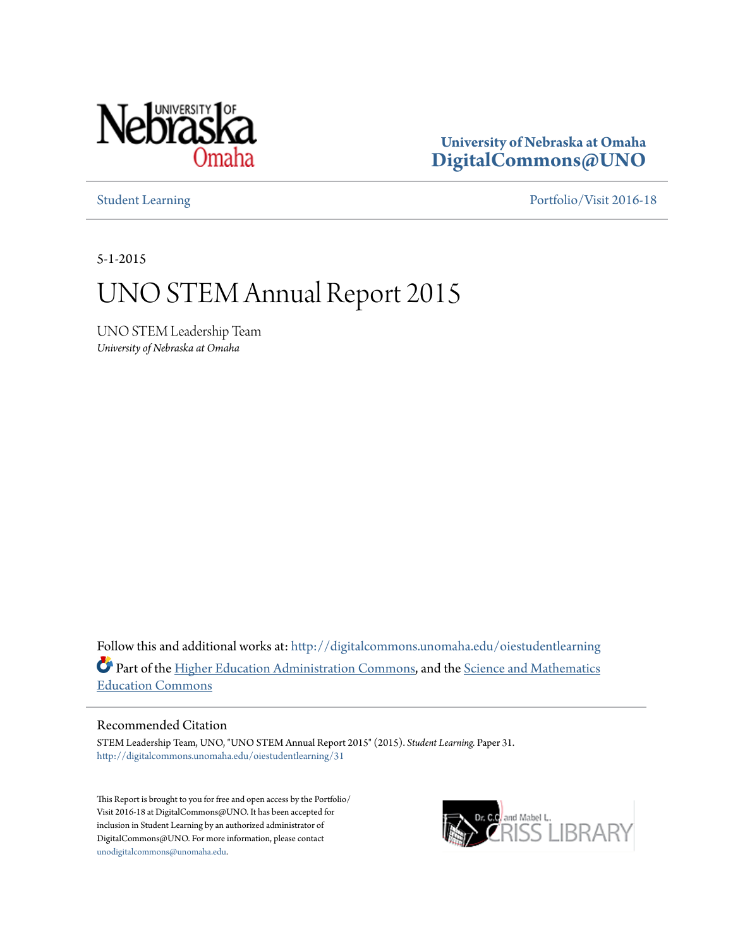

**University of Nebraska at Omaha [DigitalCommons@UNO](http://digitalcommons.unomaha.edu?utm_source=digitalcommons.unomaha.edu%2Foiestudentlearning%2F31&utm_medium=PDF&utm_campaign=PDFCoverPages)**

[Student Learning](http://digitalcommons.unomaha.edu/oiestudentlearning?utm_source=digitalcommons.unomaha.edu%2Foiestudentlearning%2F31&utm_medium=PDF&utm_campaign=PDFCoverPages) [Portfolio/Visit 2016-18](http://digitalcommons.unomaha.edu/oieportfolio?utm_source=digitalcommons.unomaha.edu%2Foiestudentlearning%2F31&utm_medium=PDF&utm_campaign=PDFCoverPages)

5-1-2015

### UNO STEM Annual Report 2015

UNO STEM Leadership Team *University of Nebraska at Omaha*

Follow this and additional works at: [http://digitalcommons.unomaha.edu/oiestudentlearning](http://digitalcommons.unomaha.edu/oiestudentlearning?utm_source=digitalcommons.unomaha.edu%2Foiestudentlearning%2F31&utm_medium=PDF&utm_campaign=PDFCoverPages) Part of the [Higher Education Administration Commons](http://network.bepress.com/hgg/discipline/791?utm_source=digitalcommons.unomaha.edu%2Foiestudentlearning%2F31&utm_medium=PDF&utm_campaign=PDFCoverPages), and the [Science and Mathematics](http://network.bepress.com/hgg/discipline/800?utm_source=digitalcommons.unomaha.edu%2Foiestudentlearning%2F31&utm_medium=PDF&utm_campaign=PDFCoverPages) [Education Commons](http://network.bepress.com/hgg/discipline/800?utm_source=digitalcommons.unomaha.edu%2Foiestudentlearning%2F31&utm_medium=PDF&utm_campaign=PDFCoverPages)

#### Recommended Citation

STEM Leadership Team, UNO, "UNO STEM Annual Report 2015" (2015). *Student Learning.* Paper 31. [http://digitalcommons.unomaha.edu/oiestudentlearning/31](http://digitalcommons.unomaha.edu/oiestudentlearning/31?utm_source=digitalcommons.unomaha.edu%2Foiestudentlearning%2F31&utm_medium=PDF&utm_campaign=PDFCoverPages)

This Report is brought to you for free and open access by the Portfolio/ Visit 2016-18 at DigitalCommons@UNO. It has been accepted for inclusion in Student Learning by an authorized administrator of DigitalCommons@UNO. For more information, please contact [unodigitalcommons@unomaha.edu](mailto:unodigitalcommons@unomaha.edu).

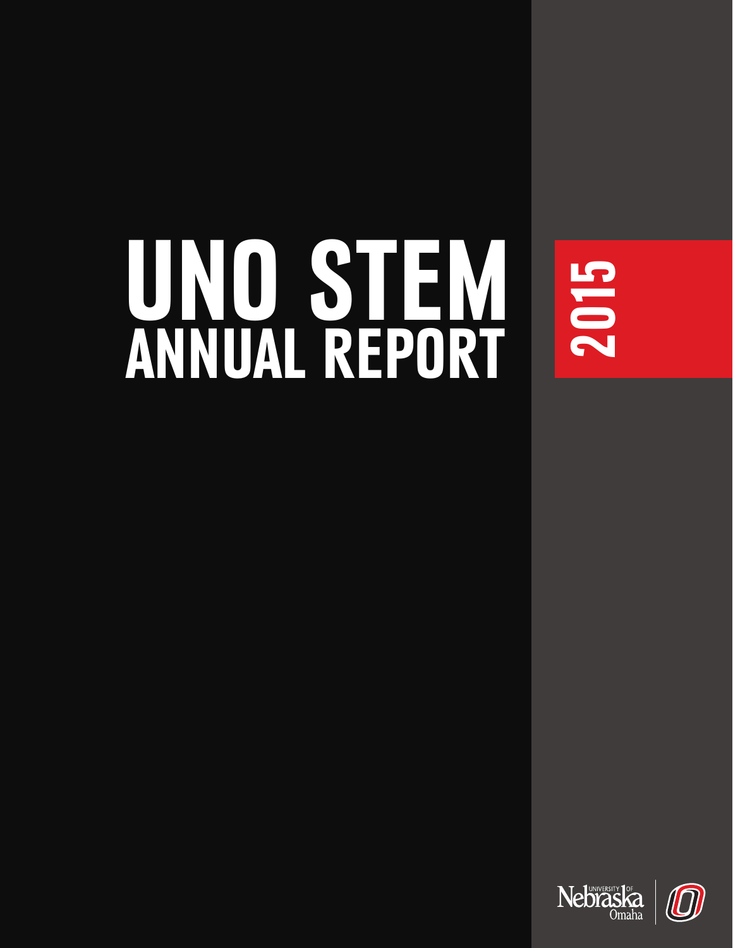# UNO STEM ANNUAL REPORT

2015

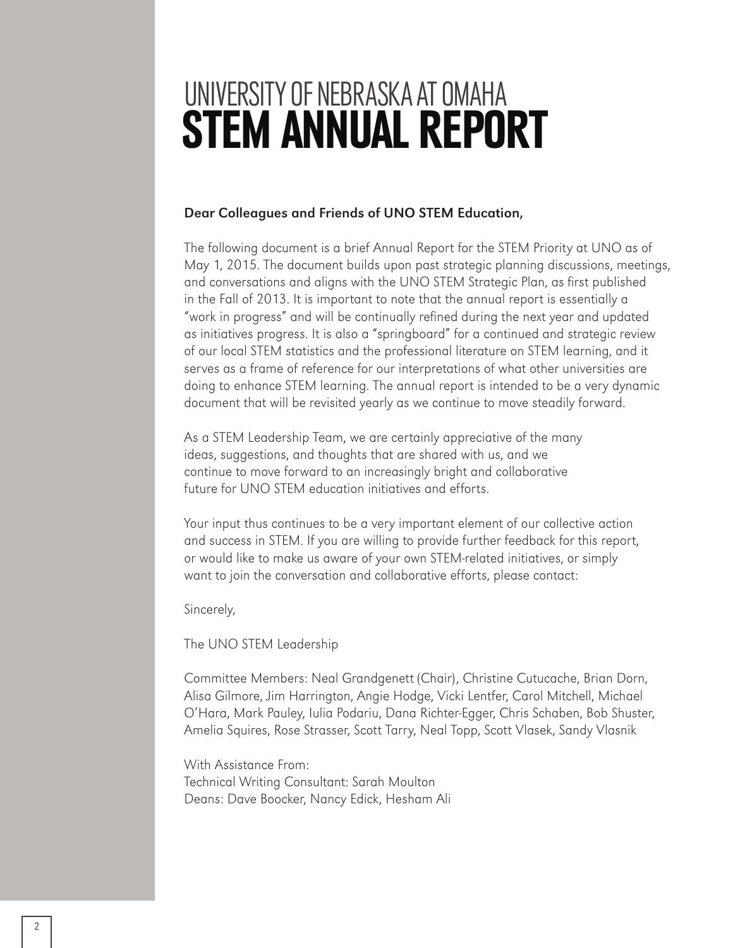# UNIVERSITY OF NEBRASKA AT OMAHA STEM ANNUAL REPORT

#### Dear Colleagues and Friends of UNO STEM Education,

The following document is a brief Annual Report for the STEM Priority at UNO as of May 1, 2015. The document builds upon past strategic planning discussions, meetings, and conversations and aligns with the UNO STEM Strategic Plan, as first published in the Fall of 2013. It is important to note that the annual report is essentially a "work in progress" and will be continually refined during the next year and updated as initiatives progress. It is also a "springboard" for a continued and strategic review of our local STEM statistics and the professional literature on STEM learning, and it serves as a frame of reference for our interpretations of what other universities are doing to enhance STEM learning. The annual report is intended to be a very dynamic document that will be revisited yearly as we continue to move steadily forward.

As a STEM Leadership Team, we are certainly appreciative of the many ideas, suggestions, and thoughts that are shared with us, and we continue to move forward to an increasingly bright and collaborative future for UNO STEM education initiatives and efforts.

Your input thus continues to be a very important element of our collective action and success in STEM. If you are willing to provide further feedback for this report, or would like to make us aware of your own STEM-related initiatives, or simply want to join the conversation and collaborative efforts, please contact:

Sincerely,

The UNO STEM Leadership

Committee Members: Neal Grandgenett (Chair), Christine Cutucache, Brian Dorn, Alisa Gilmore, Jim Harrington, Angie Hodge, Vicki Lentfer, Carol Mitchell, Michael O'Hara, Mark Pauley, Iulia Podariu, Dana Richter-Egger, Chris Schaben, Bob Shuster, Amelia Squires, Rose Strasser, Scott Tarry, Neal Topp, Scott Vlasek, Sandy Vlasnik

With Assistance From: Technical Writing Consultant: Sarah Moulton Deans: Dave Boocker, Nancy Edick, Hesham Ali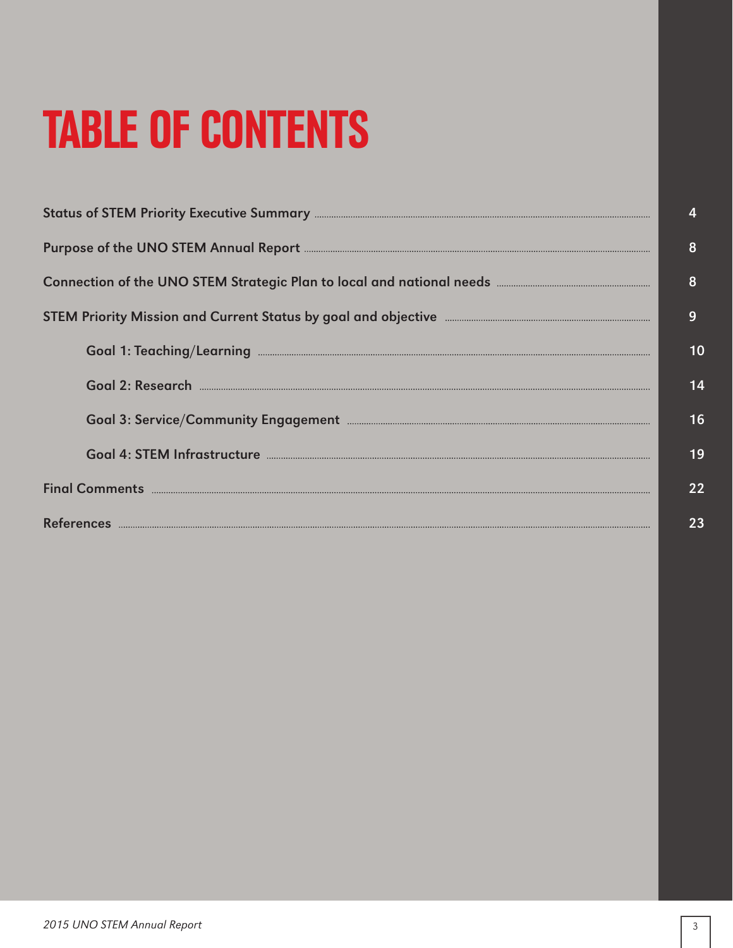# TABLE OF CONTENTS

|                                                                                                       | $\overline{4}$ |
|-------------------------------------------------------------------------------------------------------|----------------|
|                                                                                                       | 8              |
|                                                                                                       | 8              |
| STEM Priority Mission and Current Status by goal and objective <b>Entity Constructs</b> 2014 and 2015 | 9              |
|                                                                                                       | 10             |
|                                                                                                       | 14             |
|                                                                                                       | 16             |
|                                                                                                       | 19             |
|                                                                                                       | 22             |
|                                                                                                       | 23             |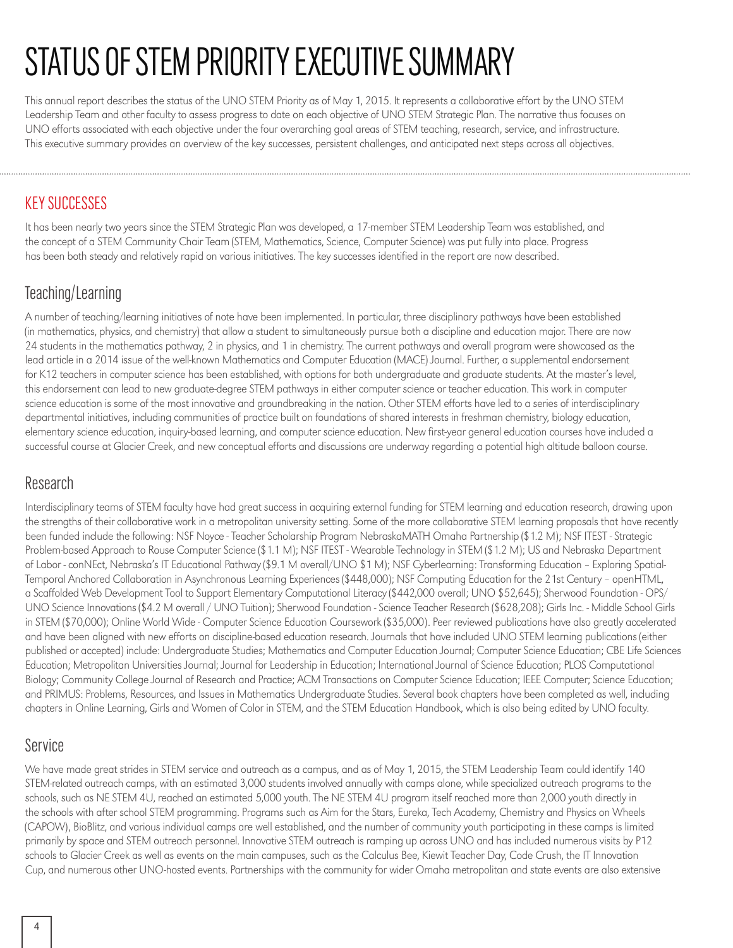# STATUS OF STEM PRIORITY EXECUTIVE SUMMARY

This annual report describes the status of the UNO STEM Priority as of May 1, 2015. It represents a collaborative effort by the UNO STEM Leadership Team and other faculty to assess progress to date on each objective of UNO STEM Strategic Plan. The narrative thus focuses on UNO efforts associated with each objective under the four overarching goal areas of STEM teaching, research, service, and infrastructure. This executive summary provides an overview of the key successes, persistent challenges, and anticipated next steps across all objectives.

#### KEY SUCCESSES

It has been nearly two years since the STEM Strategic Plan was developed, a 17-member STEM Leadership Team was established, and the concept of a STEM Community Chair Team (STEM, Mathematics, Science, Computer Science) was put fully into place. Progress has been both steady and relatively rapid on various initiatives. The key successes identified in the report are now described.

#### Teaching/Learning

A number of teaching/learning initiatives of note have been implemented. In particular, three disciplinary pathways have been established (in mathematics, physics, and chemistry) that allow a student to simultaneously pursue both a discipline and education major. There are now 24 students in the mathematics pathway, 2 in physics, and 1 in chemistry. The current pathways and overall program were showcased as the lead article in a 2014 issue of the well-known Mathematics and Computer Education (MACE) Journal. Further, a supplemental endorsement for K12 teachers in computer science has been established, with options for both undergraduate and graduate students. At the master's level, this endorsement can lead to new graduate-degree STEM pathways in either computer science or teacher education. This work in computer science education is some of the most innovative and groundbreaking in the nation. Other STEM efforts have led to a series of interdisciplinary departmental initiatives, including communities of practice built on foundations of shared interests in freshman chemistry, biology education, elementary science education, inquiry-based learning, and computer science education. New first-year general education courses have included a successful course at Glacier Creek, and new conceptual efforts and discussions are underway regarding a potential high altitude balloon course.

#### Research

Interdisciplinary teams of STEM faculty have had great success in acquiring external funding for STEM learning and education research, drawing upon the strengths of their collaborative work in a metropolitan university setting. Some of the more collaborative STEM learning proposals that have recently been funded include the following: NSF Noyce - Teacher Scholarship Program NebraskaMATH Omaha Partnership (\$1.2 M); NSF ITEST - Strategic Problem-based Approach to Rouse Computer Science (\$1.1 M); NSF ITEST - Wearable Technology in STEM (\$1.2 M); US and Nebraska Department of Labor - conNEct, Nebraska's IT Educational Pathway (\$9.1 M overall/UNO \$1 M); NSF Cyberlearning: Transforming Education – Exploring Spatial-Temporal Anchored Collaboration in Asynchronous Learning Experiences (\$448,000); NSF Computing Education for the 21st Century – openHTML, a Scaffolded Web Development Tool to Support Elementary Computational Literacy (\$442,000 overall; UNO \$52,645); Sherwood Foundation - OPS/ UNO Science Innovations (\$4.2 M overall / UNO Tuition); Sherwood Foundation - Science Teacher Research (\$628,208); Girls Inc. - Middle School Girls in STEM (\$70,000); Online World Wide - Computer Science Education Coursework (\$35,000). Peer reviewed publications have also greatly accelerated and have been aligned with new efforts on discipline-based education research. Journals that have included UNO STEM learning publications (either published or accepted) include: Undergraduate Studies; Mathematics and Computer Education Journal; Computer Science Education; CBE Life Sciences Education; Metropolitan Universities Journal; Journal for Leadership in Education; International Journal of Science Education; PLOS Computational Biology; Community College Journal of Research and Practice; ACM Transactions on Computer Science Education; IEEE Computer; Science Education; and PRIMUS: Problems, Resources, and Issues in Mathematics Undergraduate Studies. Several book chapters have been completed as well, including chapters in Online Learning, Girls and Women of Color in STEM, and the STEM Education Handbook, which is also being edited by UNO faculty.

#### Service

We have made great strides in STEM service and outreach as a campus, and as of May 1, 2015, the STEM Leadership Team could identify 140 STEM-related outreach camps, with an estimated 3,000 students involved annually with camps alone, while specialized outreach programs to the schools, such as NE STEM 4U, reached an estimated 5,000 youth. The NE STEM 4U program itself reached more than 2,000 youth directly in the schools with after school STEM programming. Programs such as Aim for the Stars, Eureka, Tech Academy, Chemistry and Physics on Wheels (CAPOW), BioBlitz, and various individual camps are well established, and the number of community youth participating in these camps is limited primarily by space and STEM outreach personnel. Innovative STEM outreach is ramping up across UNO and has included numerous visits by P12 schools to Glacier Creek as well as events on the main campuses, such as the Calculus Bee, Kiewit Teacher Day, Code Crush, the IT Innovation Cup, and numerous other UNO-hosted events. Partnerships with the community for wider Omaha metropolitan and state events are also extensive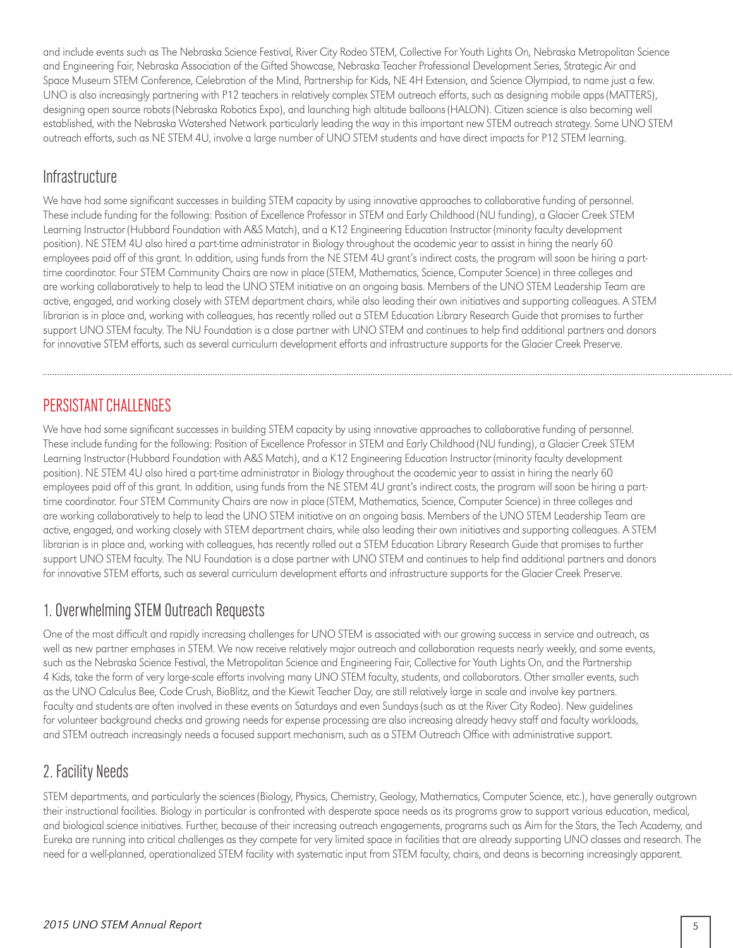and include events such as The Nebraska Science Festival, River City Rodeo STEM, Collective For Youth Lights On, Nebraska Metropolitan Science and Engineering Fair, Nebraska Association of the Gifted Showcase, Nebraska Teacher Professional Development Series, Strategic Air and Space Museum STEM Conference, Celebration of the Mind, Partnership for Kids, NE 4H Extension, and Science Olympiad, to name just a few. UNO is also increasingly partnering with P12 teachers in relatively complex STEM outreach efforts, such as designing mobile apps (MATTERS), designing open source robots (Nebraska Robotics Expo), and launching high altitude balloons (HALON). Citizen science is also becoming well established, with the Nebraska Watershed Network particularly leading the way in this important new STEM outreach strategy. Some UNO STEM outreach efforts, such as NE STEM 4U, involve a large number of UNO STEM students and have direct impacts for P12 STEM learning.

#### **Infrastructure**

We have had some significant successes in building STEM capacity by using innovative approaches to collaborative funding of personnel. These include funding for the following: Position of Excellence Professor in STEM and Early Childhood (NU funding), a Glacier Creek STEM Learning Instructor (Hubbard Foundation with A&S Match), and a K12 Engineering Education Instructor (minority faculty development position). NE STEM 4U also hired a part-time administrator in Biology throughout the academic year to assist in hiring the nearly 60 employees paid off of this grant. In addition, using funds from the NE STEM 4U grant's indirect costs, the program will soon be hiring a parttime coordinator. Four STEM Community Chairs are now in place (STEM, Mathematics, Science, Computer Science) in three colleges and are working collaboratively to help to lead the UNO STEM initiative on an ongoing basis. Members of the UNO STEM Leadership Team are active, engaged, and working closely with STEM department chairs, while also leading their own initiatives and supporting colleagues. A STEM librarian is in place and, working with colleagues, has recently rolled out a STEM Education Library Research Guide that promises to further support UNO STEM faculty. The NU Foundation is a close partner with UNO STEM and continues to help find additional partners and donors for innovative STEM efforts, such as several curriculum development efforts and infrastructure supports for the Glacier Creek Preserve.

#### PERSISTANT CHALLENGES

We have had some significant successes in building STEM capacity by using innovative approaches to collaborative funding of personnel. These include funding for the following: Position of Excellence Professor in STEM and Early Childhood (NU funding), a Glacier Creek STEM Learning Instructor (Hubbard Foundation with A&S Match), and a K12 Engineering Education Instructor (minority faculty development position). NE STEM 4U also hired a part-time administrator in Biology throughout the academic year to assist in hiring the nearly 60 employees paid off of this grant. In addition, using funds from the NE STEM 4U grant's indirect costs, the program will soon be hiring a parttime coordinator. Four STEM Community Chairs are now in place (STEM, Mathematics, Science, Computer Science) in three colleges and are working collaboratively to help to lead the UNO STEM initiative on an ongoing basis. Members of the UNO STEM Leadership Team are active, engaged, and working closely with STEM department chairs, while also leading their own initiatives and supporting colleagues. A STEM librarian is in place and, working with colleagues, has recently rolled out a STEM Education Library Research Guide that promises to further support UNO STEM faculty. The NU Foundation is a close partner with UNO STEM and continues to help find additional partners and donors for innovative STEM efforts, such as several curriculum development efforts and infrastructure supports for the Glacier Creek Preserve.

#### 1. Overwhelming STEM Outreach Requests

One of the most difficult and rapidly increasing challenges for UNO STEM is associated with our growing success in service and outreach, as well as new partner emphases in STEM. We now receive relatively major outreach and collaboration requests nearly weekly, and some events, such as the Nebraska Science Festival, the Metropolitan Science and Engineering Fair, Collective for Youth Lights On, and the Partnership 4 Kids, take the form of very large-scale efforts involving many UNO STEM faculty, students, and collaborators. Other smaller events, such as the UNO Calculus Bee, Code Crush, BioBlitz, and the Kiewit Teacher Day, are still relatively large in scale and involve key partners. Faculty and students are often involved in these events on Saturdays and even Sundays (such as at the River City Rodeo). New guidelines for volunteer background checks and growing needs for expense processing are also increasing already heavy staff and faculty workloads, and STEM outreach increasingly needs a focused support mechanism, such as a STEM Outreach Office with administrative support.

#### 2. Facility Needs

STEM departments, and particularly the sciences (Biology, Physics, Chemistry, Geology, Mathematics, Computer Science, etc.), have generally outgrown their instructional facilities. Biology in particular is confronted with desperate space needs as its programs grow to support various education, medical, and biological science initiatives. Further, because of their increasing outreach engagements, programs such as Aim for the Stars, the Tech Academy, and Eureka are running into critical challenges as they compete for very limited space in facilities that are already supporting UNO classes and research. The need for a well-planned, operationalized STEM facility with systematic input from STEM faculty, chairs, and deans is becoming increasingly apparent.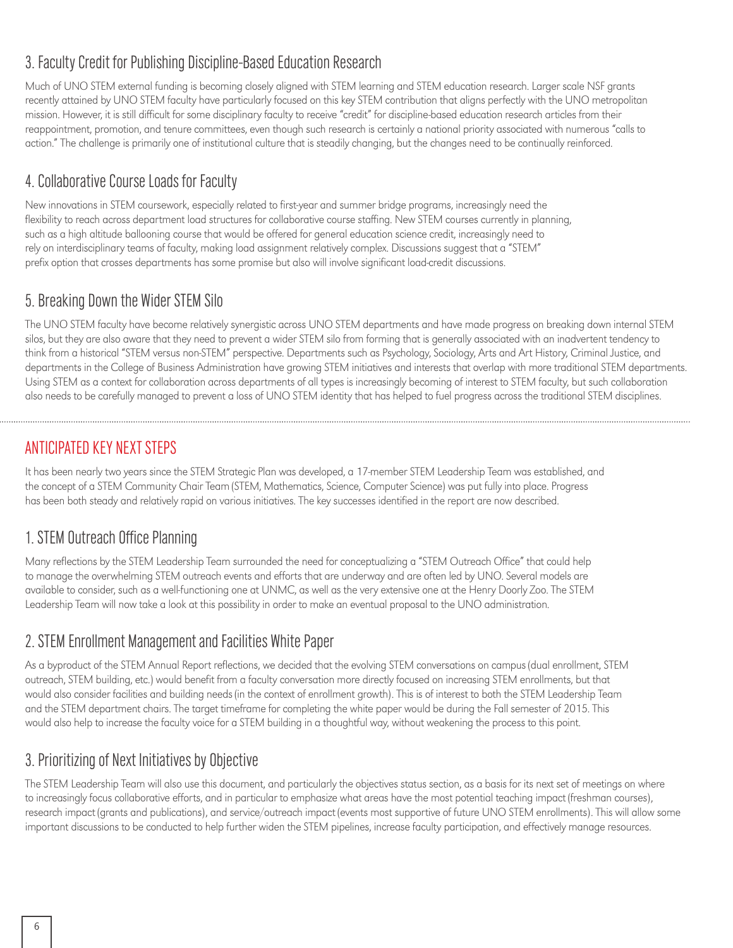#### 3. Faculty Credit for Publishing Discipline-Based Education Research

Much of UNO STEM external funding is becoming closely aligned with STEM learning and STEM education research. Larger scale NSF grants recently attained by UNO STEM faculty have particularly focused on this key STEM contribution that aligns perfectly with the UNO metropolitan mission. However, it is still difficult for some disciplinary faculty to receive "credit" for discipline-based education research articles from their reappointment, promotion, and tenure committees, even though such research is certainly a national priority associated with numerous "calls to action." The challenge is primarily one of institutional culture that is steadily changing, but the changes need to be continually reinforced.

#### 4. Collaborative Course Loads for Faculty

New innovations in STEM coursework, especially related to first-year and summer bridge programs, increasingly need the flexibility to reach across department load structures for collaborative course staffing. New STEM courses currently in planning, such as a high altitude ballooning course that would be offered for general education science credit, increasingly need to rely on interdisciplinary teams of faculty, making load assignment relatively complex. Discussions suggest that a "STEM" prefix option that crosses departments has some promise but also will involve significant load-credit discussions.

#### 5. Breaking Down the Wider STEM Silo

The UNO STEM faculty have become relatively synergistic across UNO STEM departments and have made progress on breaking down internal STEM silos, but they are also aware that they need to prevent a wider STEM silo from forming that is generally associated with an inadvertent tendency to think from a historical "STEM versus non-STEM" perspective. Departments such as Psychology, Sociology, Arts and Art History, Criminal Justice, and departments in the College of Business Administration have growing STEM initiatives and interests that overlap with more traditional STEM departments. Using STEM as a context for collaboration across departments of all types is increasingly becoming of interest to STEM faculty, but such collaboration also needs to be carefully managed to prevent a loss of UNO STEM identity that has helped to fuel progress across the traditional STEM disciplines.

#### ANTICIPATED KEY NEXT STEPS

It has been nearly two years since the STEM Strategic Plan was developed, a 17-member STEM Leadership Team was established, and the concept of a STEM Community Chair Team (STEM, Mathematics, Science, Computer Science) was put fully into place. Progress has been both steady and relatively rapid on various initiatives. The key successes identified in the report are now described.

#### 1. STEM Outreach Office Planning

Many reflections by the STEM Leadership Team surrounded the need for conceptualizing a "STEM Outreach Office" that could help to manage the overwhelming STEM outreach events and efforts that are underway and are often led by UNO. Several models are available to consider, such as a well-functioning one at UNMC, as well as the very extensive one at the Henry Doorly Zoo. The STEM Leadership Team will now take a look at this possibility in order to make an eventual proposal to the UNO administration.

#### 2. STEM Enrollment Management and Facilities White Paper

As a byproduct of the STEM Annual Report reflections, we decided that the evolving STEM conversations on campus (dual enrollment, STEM outreach, STEM building, etc.) would benefit from a faculty conversation more directly focused on increasing STEM enrollments, but that would also consider facilities and building needs (in the context of enrollment growth). This is of interest to both the STEM Leadership Team and the STEM department chairs. The target timeframe for completing the white paper would be during the Fall semester of 2015. This would also help to increase the faculty voice for a STEM building in a thoughtful way, without weakening the process to this point.

#### 3. Prioritizing of Next Initiatives by Objective

The STEM Leadership Team will also use this document, and particularly the objectives status section, as a basis for its next set of meetings on where to increasingly focus collaborative efforts, and in particular to emphasize what areas have the most potential teaching impact (freshman courses), research impact (grants and publications), and service/outreach impact (events most supportive of future UNO STEM enrollments). This will allow some important discussions to be conducted to help further widen the STEM pipelines, increase faculty participation, and effectively manage resources.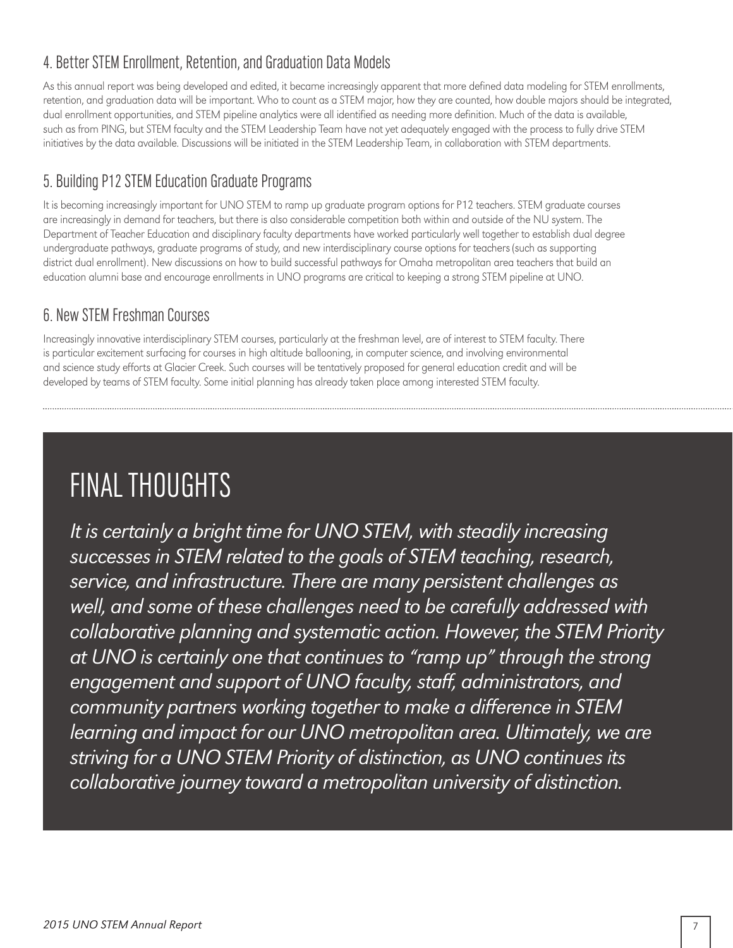#### 4. Better STEM Enrollment, Retention, and Graduation Data Models

As this annual report was being developed and edited, it became increasingly apparent that more defined data modeling for STEM enrollments, retention, and graduation data will be important. Who to count as a STEM major, how they are counted, how double majors should be integrated, dual enrollment opportunities, and STEM pipeline analytics were all identified as needing more definition. Much of the data is available, such as from PING, but STEM faculty and the STEM Leadership Team have not yet adequately engaged with the process to fully drive STEM initiatives by the data available. Discussions will be initiated in the STEM Leadership Team, in collaboration with STEM departments.

#### 5. Building P12 STEM Education Graduate Programs

It is becoming increasingly important for UNO STEM to ramp up graduate program options for P12 teachers. STEM graduate courses are increasingly in demand for teachers, but there is also considerable competition both within and outside of the NU system. The Department of Teacher Education and disciplinary faculty departments have worked particularly well together to establish dual degree undergraduate pathways, graduate programs of study, and new interdisciplinary course options for teachers (such as supporting district dual enrollment). New discussions on how to build successful pathways for Omaha metropolitan area teachers that build an education alumni base and encourage enrollments in UNO programs are critical to keeping a strong STEM pipeline at UNO.

#### 6. New STEM Freshman Courses

Increasingly innovative interdisciplinary STEM courses, particularly at the freshman level, are of interest to STEM faculty. There is particular excitement surfacing for courses in high altitude ballooning, in computer science, and involving environmental and science study efforts at Glacier Creek. Such courses will be tentatively proposed for general education credit and will be developed by teams of STEM faculty. Some initial planning has already taken place among interested STEM faculty.

### FINAL THOUGHTS

*It is certainly a bright time for UNO STEM, with steadily increasing successes in STEM related to the goals of STEM teaching, research, service, and infrastructure. There are many persistent challenges as well, and some of these challenges need to be carefully addressed with collaborative planning and systematic action. However, the STEM Priority at UNO is certainly one that continues to "ramp up" through the strong engagement and support of UNO faculty, staff, administrators, and community partners working together to make a difference in STEM*  learning and impact for our UNO metropolitan area. Ultimately, we are *striving for a UNO STEM Priority of distinction, as UNO continues its collaborative journey toward a metropolitan university of distinction.*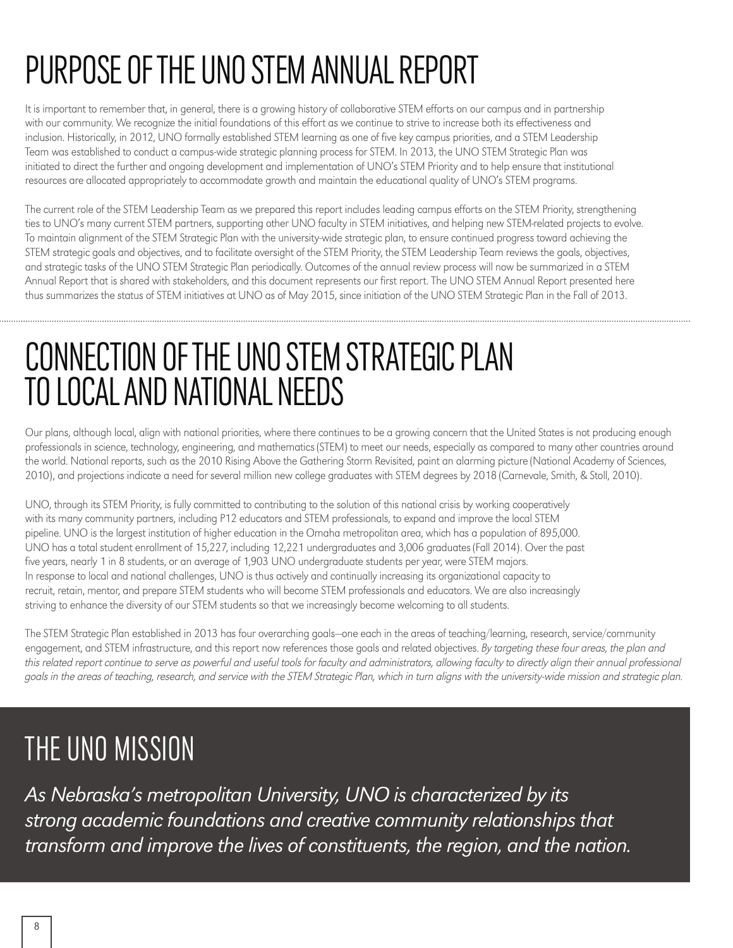# PURPOSE OF THE UNO STEM ANNUAL REPORT

It is important to remember that, in general, there is a growing history of collaborative STEM efforts on our campus and in partnership with our community. We recognize the initial foundations of this effort as we continue to strive to increase both its effectiveness and inclusion. Historically, in 2012, UNO formally established STEM learning as one of five key campus priorities, and a STEM Leadership Team was established to conduct a campus-wide strategic planning process for STEM. In 2013, the UNO STEM Strategic Plan was initiated to direct the further and ongoing development and implementation of UNO's STEM Priority and to help ensure that institutional resources are allocated appropriately to accommodate growth and maintain the educational quality of UNO's STEM programs.

The current role of the STEM Leadership Team as we prepared this report includes leading campus efforts on the STEM Priority, strengthening ties to UNO's many current STEM partners, supporting other UNO faculty in STEM initiatives, and helping new STEM-related projects to evolve. To maintain alignment of the STEM Strategic Plan with the university-wide strategic plan, to ensure continued progress toward achieving the STEM strategic goals and objectives, and to facilitate oversight of the STEM Priority, the STEM Leadership Team reviews the goals, objectives, and strategic tasks of the UNO STEM Strategic Plan periodically. Outcomes of the annual review process will now be summarized in a STEM Annual Report that is shared with stakeholders, and this document represents our first report. The UNO STEM Annual Report presented here thus summarizes the status of STEM initiatives at UNO as of May 2015, since initiation of the UNO STEM Strategic Plan in the Fall of 2013.

# CONNECTION OF THE UNO STEM STRATEGIC PLAN TO LOCAL AND NATIONAL NEEDS

Our plans, although local, align with national priorities, where there continues to be a growing concern that the United States is not producing enough professionals in science, technology, engineering, and mathematics (STEM) to meet our needs, especially as compared to many other countries around the world. National reports, such as the 2010 Rising Above the Gathering Storm Revisited, paint an alarming picture (National Academy of Sciences, 2010), and projections indicate a need for several million new college graduates with STEM degrees by 2018 (Carnevale, Smith, & Stoll, 2010).

UNO, through its STEM Priority, is fully committed to contributing to the solution of this national crisis by working cooperatively with its many community partners, including P12 educators and STEM professionals, to expand and improve the local STEM pipeline. UNO is the largest institution of higher education in the Omaha metropolitan area, which has a population of 895,000. UNO has a total student enrollment of 15,227, including 12,221 undergraduates and 3,006 graduates (Fall 2014). Over the past five years, nearly 1 in 8 students, or an average of 1,903 UNO undergraduate students per year, were STEM majors. In response to local and national challenges, UNO is thus actively and continually increasing its organizational capacity to recruit, retain, mentor, and prepare STEM students who will become STEM professionals and educators. We are also increasingly striving to enhance the diversity of our STEM students so that we increasingly become welcoming to all students.

The STEM Strategic Plan established in 2013 has four overarching goals—one each in the areas of teaching/learning, research, service/community engagement, and STEM infrastructure, and this report now references those goals and related objectives. By targeting these four areas, the plan and this related report continue to serve as powerful and useful tools for faculty and administrators, allowing faculty to directly align their annual professional goals in the areas of teaching, research, and service with the STEM Strategic Plan, which in turn aligns with the university-wide mission and strategic plan.

## THE UNO MISSION

*As Nebraska's metropolitan University, UNO is characterized by its strong academic foundations and creative community relationships that transform and improve the lives of constituents, the region, and the nation.*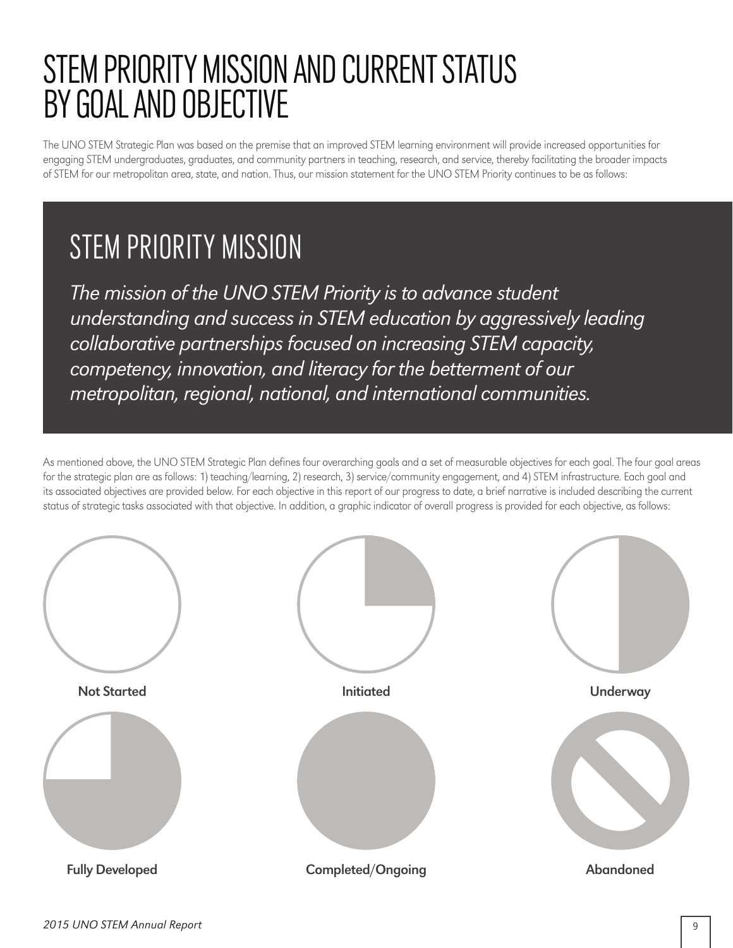# STEM PRIORITY MISSION AND CURRENT STATUS BY GOAL AND OBJECTIVE

The UNO STEM Strategic Plan was based on the premise that an improved STEM learning environment will provide increased opportunities for engaging STEM undergraduates, graduates, and community partners in teaching, research, and service, thereby facilitating the broader impacts of STEM for our metropolitan area, state, and nation. Thus, our mission statement for the UNO STEM Priority continues to be as follows:

### STEM PRIORITY MISSION

*The mission of the UNO STEM Priority is to advance student understanding and success in STEM education by aggressively leading collaborative partnerships focused on increasing STEM capacity, competency, innovation, and literacy for the betterment of our metropolitan, regional, national, and international communities.*

As mentioned above, the UNO STEM Strategic Plan defines four overarching goals and a set of measurable objectives for each goal. The four goal areas for the strategic plan are as follows: 1) teaching/learning, 2) research, 3) service/community engagement, and 4) STEM infrastructure. Each goal and its associated objectives are provided below. For each objective in this report of our progress to date, a brief narrative is included describing the current status of strategic tasks associated with that objective. In addition, a graphic indicator of overall progress is provided for each objective, as follows:

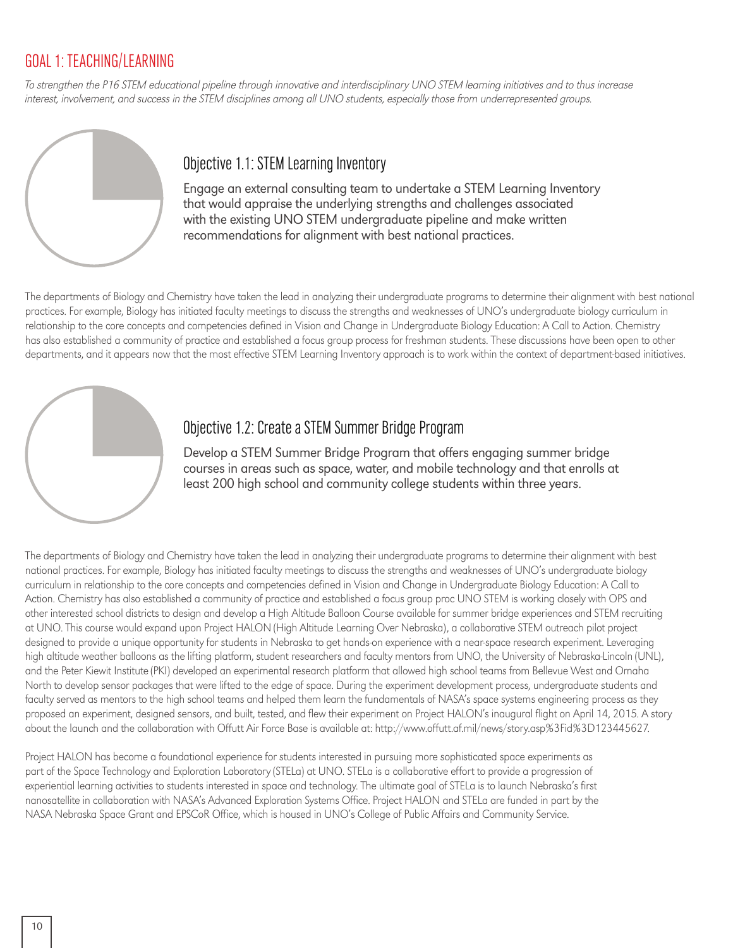#### GOAL 1: TEACHING/LEARNING

To strengthen the P16 STEM educational pipeline through innovative and interdisciplinary UNO STEM learning initiatives and to thus increase interest, involvement, and success in the STEM disciplines among all UNO students, especially those from underrepresented groups.



#### Objective 1.1: STEM Learning Inventory

Engage an external consulting team to undertake a STEM Learning Inventory that would appraise the underlying strengths and challenges associated with the existing UNO STEM undergraduate pipeline and make written recommendations for alignment with best national practices.

The departments of Biology and Chemistry have taken the lead in analyzing their undergraduate programs to determine their alignment with best national practices. For example, Biology has initiated faculty meetings to discuss the strengths and weaknesses of UNO's undergraduate biology curriculum in relationship to the core concepts and competencies defined in Vision and Change in Undergraduate Biology Education: A Call to Action. Chemistry has also established a community of practice and established a focus group process for freshman students. These discussions have been open to other departments, and it appears now that the most effective STEM Learning Inventory approach is to work within the context of department-based initiatives.



#### Objective 1.2: Create a STEM Summer Bridge Program

Develop a STEM Summer Bridge Program that offers engaging summer bridge courses in areas such as space, water, and mobile technology and that enrolls at least 200 high school and community college students within three years.

The departments of Biology and Chemistry have taken the lead in analyzing their undergraduate programs to determine their alignment with best national practices. For example, Biology has initiated faculty meetings to discuss the strengths and weaknesses of UNO's undergraduate biology curriculum in relationship to the core concepts and competencies defined in Vision and Change in Undergraduate Biology Education: A Call to Action. Chemistry has also established a community of practice and established a focus group proc UNO STEM is working closely with OPS and other interested school districts to design and develop a High Altitude Balloon Course available for summer bridge experiences and STEM recruiting at UNO. This course would expand upon Project HALON (High Altitude Learning Over Nebraska), a collaborative STEM outreach pilot project designed to provide a unique opportunity for students in Nebraska to get hands-on experience with a near-space research experiment. Leveraging high altitude weather balloons as the lifting platform, student researchers and faculty mentors from UNO, the University of Nebraska-Lincoln (UNL), and the Peter Kiewit Institute (PKI) developed an experimental research platform that allowed high school teams from Bellevue West and Omaha North to develop sensor packages that were lifted to the edge of space. During the experiment development process, undergraduate students and faculty served as mentors to the high school teams and helped them learn the fundamentals of NASA's space systems engineering process as they proposed an experiment, designed sensors, and built, tested, and flew their experiment on Project HALON's inaugural flight on April 14, 2015. A story about the launch and the collaboration with Offutt Air Force Base is available at: http://www.offutt.af.mil/news/story.asp%3Fid%3D123445627.

Project HALON has become a foundational experience for students interested in pursuing more sophisticated space experiments as part of the Space Technology and Exploration Laboratory (STELa) at UNO. STELa is a collaborative effort to provide a progression of experiential learning activities to students interested in space and technology. The ultimate goal of STELa is to launch Nebraska's first nanosatellite in collaboration with NASA's Advanced Exploration Systems Office. Project HALON and STELa are funded in part by the NASA Nebraska Space Grant and EPSCoR Office, which is housed in UNO's College of Public Affairs and Community Service.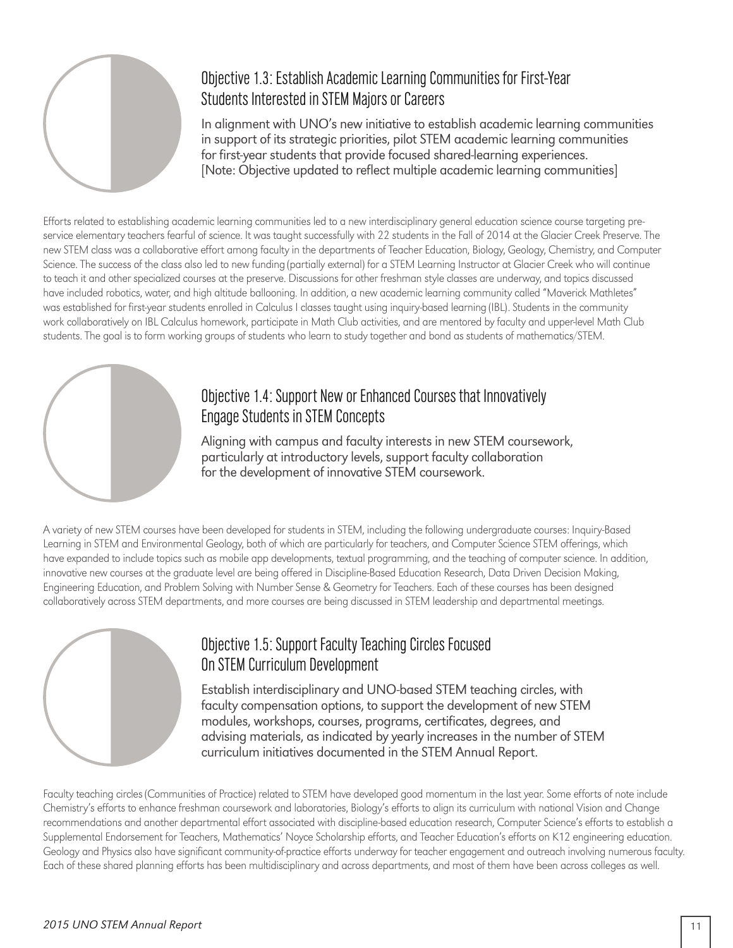

#### Objective 1.3: Establish Academic Learning Communities for First-Year Students Interested in STEM Majors or Careers

In alignment with UNO's new initiative to establish academic learning communities in support of its strategic priorities, pilot STEM academic learning communities for first-year students that provide focused shared-learning experiences. [Note: Objective updated to reflect multiple academic learning communities]

Efforts related to establishing academic learning communities led to a new interdisciplinary general education science course targeting preservice elementary teachers fearful of science. It was taught successfully with 22 students in the Fall of 2014 at the Glacier Creek Preserve. The new STEM class was a collaborative effort among faculty in the departments of Teacher Education, Biology, Geology, Chemistry, and Computer Science. The success of the class also led to new funding (partially external) for a STEM Learning Instructor at Glacier Creek who will continue to teach it and other specialized courses at the preserve. Discussions for other freshman style classes are underway, and topics discussed have included robotics, water, and high altitude ballooning. In addition, a new academic learning community called "Maverick Mathletes" was established for first-year students enrolled in Calculus I classes taught using inquiry-based learning (IBL). Students in the community work collaboratively on IBL Calculus homework, participate in Math Club activities, and are mentored by faculty and upper-level Math Club students. The goal is to form working groups of students who learn to study together and bond as students of mathematics/STEM.



#### Objective 1.4: Support New or Enhanced Courses that Innovatively Engage Students in STEM Concepts

Aligning with campus and faculty interests in new STEM coursework, particularly at introductory levels, support faculty collaboration for the development of innovative STEM coursework.

A variety of new STEM courses have been developed for students in STEM, including the following undergraduate courses: Inquiry-Based Learning in STEM and Environmental Geology, both of which are particularly for teachers, and Computer Science STEM offerings, which have expanded to include topics such as mobile app developments, textual programming, and the teaching of computer science. In addition, innovative new courses at the graduate level are being offered in Discipline-Based Education Research, Data Driven Decision Making, Engineering Education, and Problem Solving with Number Sense & Geometry for Teachers. Each of these courses has been designed collaboratively across STEM departments, and more courses are being discussed in STEM leadership and departmental meetings.



#### Objective 1.5: Support Faculty Teaching Circles Focused On STEM Curriculum Development

Establish interdisciplinary and UNO-based STEM teaching circles, with faculty compensation options, to support the development of new STEM modules, workshops, courses, programs, certificates, degrees, and advising materials, as indicated by yearly increases in the number of STEM curriculum initiatives documented in the STEM Annual Report.

Faculty teaching circles (Communities of Practice) related to STEM have developed good momentum in the last year. Some efforts of note include Chemistry's efforts to enhance freshman coursework and laboratories, Biology's efforts to align its curriculum with national Vision and Change recommendations and another departmental effort associated with discipline-based education research, Computer Science's efforts to establish a Supplemental Endorsement for Teachers, Mathematics' Noyce Scholarship efforts, and Teacher Education's efforts on K12 engineering education. Geology and Physics also have significant community-of-practice efforts underway for teacher engagement and outreach involving numerous faculty. Each of these shared planning efforts has been multidisciplinary and across departments, and most of them have been across colleges as well.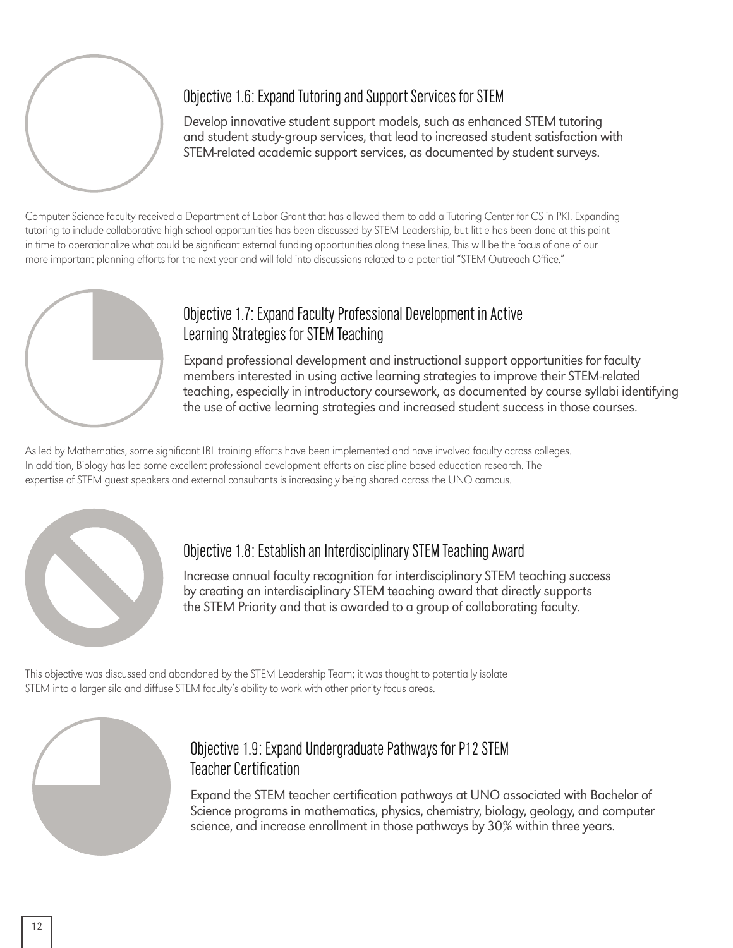

#### Objective 1.6: Expand Tutoring and Support Services for STEM

Develop innovative student support models, such as enhanced STEM tutoring and student study-group services, that lead to increased student satisfaction with STEM-related academic support services, as documented by student surveys.

Computer Science faculty received a Department of Labor Grant that has allowed them to add a Tutoring Center for CS in PKI. Expanding tutoring to include collaborative high school opportunities has been discussed by STEM Leadership, but little has been done at this point in time to operationalize what could be significant external funding opportunities along these lines. This will be the focus of one of our more important planning efforts for the next year and will fold into discussions related to a potential "STEM Outreach Office."



#### Objective 1.7: Expand Faculty Professional Development in Active Learning Strategies for STEM Teaching

Expand professional development and instructional support opportunities for faculty members interested in using active learning strategies to improve their STEM-related teaching, especially in introductory coursework, as documented by course syllabi identifying the use of active learning strategies and increased student success in those courses.

As led by Mathematics, some significant IBL training efforts have been implemented and have involved faculty across colleges. In addition, Biology has led some excellent professional development efforts on discipline-based education research. The expertise of STEM guest speakers and external consultants is increasingly being shared across the UNO campus.



#### Objective 1.8: Establish an Interdisciplinary STEM Teaching Award

Increase annual faculty recognition for interdisciplinary STEM teaching success by creating an interdisciplinary STEM teaching award that directly supports the STEM Priority and that is awarded to a group of collaborating faculty.

This objective was discussed and abandoned by the STEM Leadership Team; it was thought to potentially isolate STEM into a larger silo and diffuse STEM faculty's ability to work with other priority focus areas.



#### Objective 1.9: Expand Undergraduate Pathways for P12 STEM Teacher Certification

Expand the STEM teacher certification pathways at UNO associated with Bachelor of Science programs in mathematics, physics, chemistry, biology, geology, and computer science, and increase enrollment in those pathways by 30% within three years.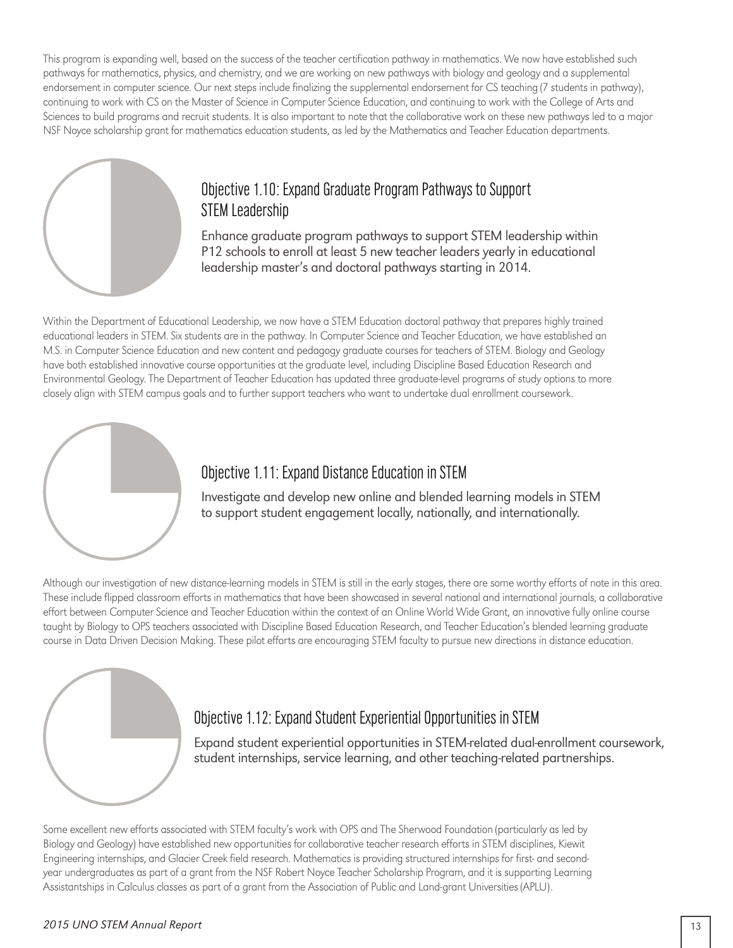This program is expanding well, based on the success of the teacher certification pathway in mathematics. We now have established such pathways for mathematics, physics, and chemistry, and we are working on new pathways with biology and geology and a supplemental endorsement in computer science. Our next steps include finalizing the supplemental endorsement for CS teaching (7 students in pathway), continuing to work with CS on the Master of Science in Computer Science Education, and continuing to work with the College of Arts and Sciences to build programs and recruit students. It is also important to note that the collaborative work on these new pathways led to a major NSF Noyce scholarship grant for mathematics education students, as led by the Mathematics and Teacher Education departments.



#### Objective 1.10: Expand Graduate Program Pathways to Support STEM Leadership

Enhance graduate program pathways to support STEM leadership within P12 schools to enroll at least 5 new teacher leaders yearly in educational leadership master's and doctoral pathways starting in 2014.

Within the Department of Educational Leadership, we now have a STEM Education doctoral pathway that prepares highly trained educational leaders in STEM. Six students are in the pathway. In Computer Science and Teacher Education, we have established an M.S. in Computer Science Education and new content and pedagogy graduate courses for teachers of STEM. Biology and Geology have both established innovative course opportunities at the graduate level, including Discipline Based Education Research and Environmental Geology. The Department of Teacher Education has updated three graduate-level programs of study options to more closely align with STEM campus goals and to further support teachers who want to undertake dual enrollment coursework.



#### Objective 1.11: Expand Distance Education in STEM

Investigate and develop new online and blended learning models in STEM to support student engagement locally, nationally, and internationally.

Although our investigation of new distance-learning models in STEM is still in the early stages, there are some worthy efforts of note in this area. These include flipped classroom efforts in mathematics that have been showcased in several national and international journals, a collaborative effort between Computer Science and Teacher Education within the context of an Online World Wide Grant, an innovative fully online course taught by Biology to OPS teachers associated with Discipline Based Education Research, and Teacher Education's blended learning graduate course in Data Driven Decision Making. These pilot efforts are encouraging STEM faculty to pursue new directions in distance education.



#### Objective 1.12: Expand Student Experiential Opportunities in STEM

Expand student experiential opportunities in STEM-related dual-enrollment coursework, student internships, service learning, and other teaching-related partnerships.

Some excellent new efforts associated with STEM faculty's work with OPS and The Sherwood Foundation (particularly as led by Biology and Geology) have established new opportunities for collaborative teacher research efforts in STEM disciplines, Kiewit Engineering internships, and Glacier Creek field research. Mathematics is providing structured internships for first- and secondyear undergraduates as part of a grant from the NSF Robert Noyce Teacher Scholarship Program, and it is supporting Learning Assistantships in Calculus classes as part of a grant from the Association of Public and Land-grant Universities (APLU).

#### *2015 UNO STEM Annual Report* 13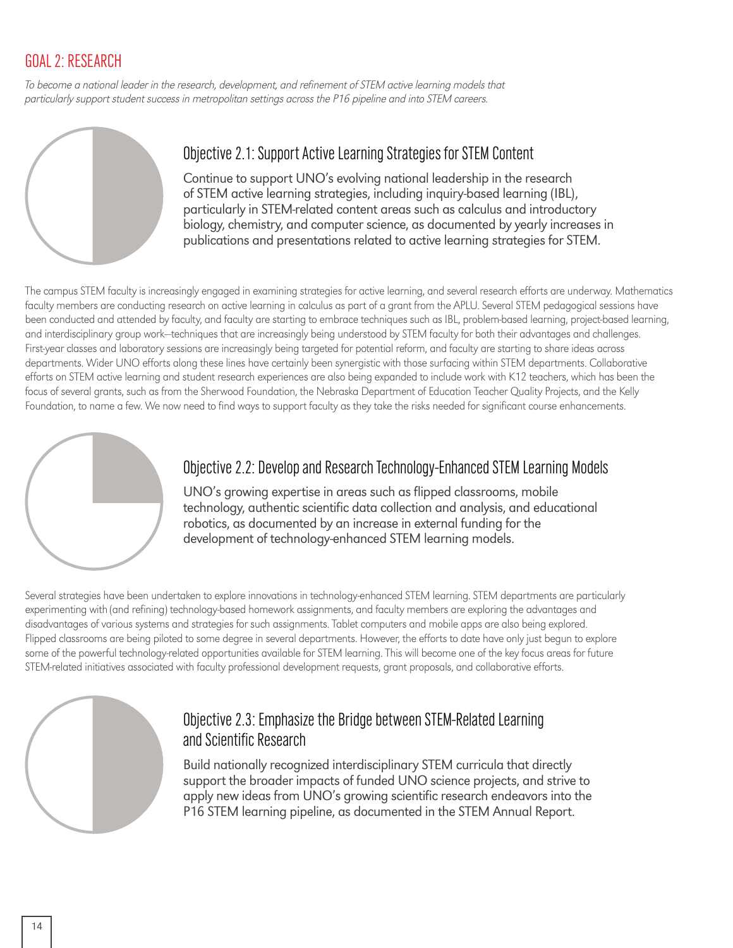#### GOAL 2: RESEARCH

To become a national leader in the research, development, and refinement of STEM active learning models that particularly support student success in metropolitan settings across the P16 pipeline and into STEM careers.



#### Objective 2.1: Support Active Learning Strategies for STEM Content

Continue to support UNO's evolving national leadership in the research of STEM active learning strategies, including inquiry-based learning (IBL), particularly in STEM-related content areas such as calculus and introductory biology, chemistry, and computer science, as documented by yearly increases in publications and presentations related to active learning strategies for STEM.

The campus STEM faculty is increasingly engaged in examining strategies for active learning, and several research efforts are underway. Mathematics faculty members are conducting research on active learning in calculus as part of a grant from the APLU. Several STEM pedagogical sessions have been conducted and attended by faculty, and faculty are starting to embrace techniques such as IBL, problem-based learning, project-based learning, and interdisciplinary group work—techniques that are increasingly being understood by STEM faculty for both their advantages and challenges. First-year classes and laboratory sessions are increasingly being targeted for potential reform, and faculty are starting to share ideas across departments. Wider UNO efforts along these lines have certainly been synergistic with those surfacing within STEM departments. Collaborative efforts on STEM active learning and student research experiences are also being expanded to include work with K12 teachers, which has been the focus of several grants, such as from the Sherwood Foundation, the Nebraska Department of Education Teacher Quality Projects, and the Kelly Foundation, to name a few. We now need to find ways to support faculty as they take the risks needed for significant course enhancements.



#### Objective 2.2: Develop and Research Technology-Enhanced STEM Learning Models

UNO's growing expertise in areas such as flipped classrooms, mobile technology, authentic scientific data collection and analysis, and educational robotics, as documented by an increase in external funding for the development of technology-enhanced STEM learning models.

Several strategies have been undertaken to explore innovations in technology-enhanced STEM learning. STEM departments are particularly experimenting with (and refining) technology-based homework assignments, and faculty members are exploring the advantages and disadvantages of various systems and strategies for such assignments. Tablet computers and mobile apps are also being explored. Flipped classrooms are being piloted to some degree in several departments. However, the efforts to date have only just begun to explore some of the powerful technology-related opportunities available for STEM learning. This will become one of the key focus areas for future STEM-related initiatives associated with faculty professional development requests, grant proposals, and collaborative efforts.



#### Objective 2.3: Emphasize the Bridge between STEM-Related Learning and Scientific Research

Build nationally recognized interdisciplinary STEM curricula that directly support the broader impacts of funded UNO science projects, and strive to apply new ideas from UNO's growing scientific research endeavors into the P16 STEM learning pipeline, as documented in the STEM Annual Report.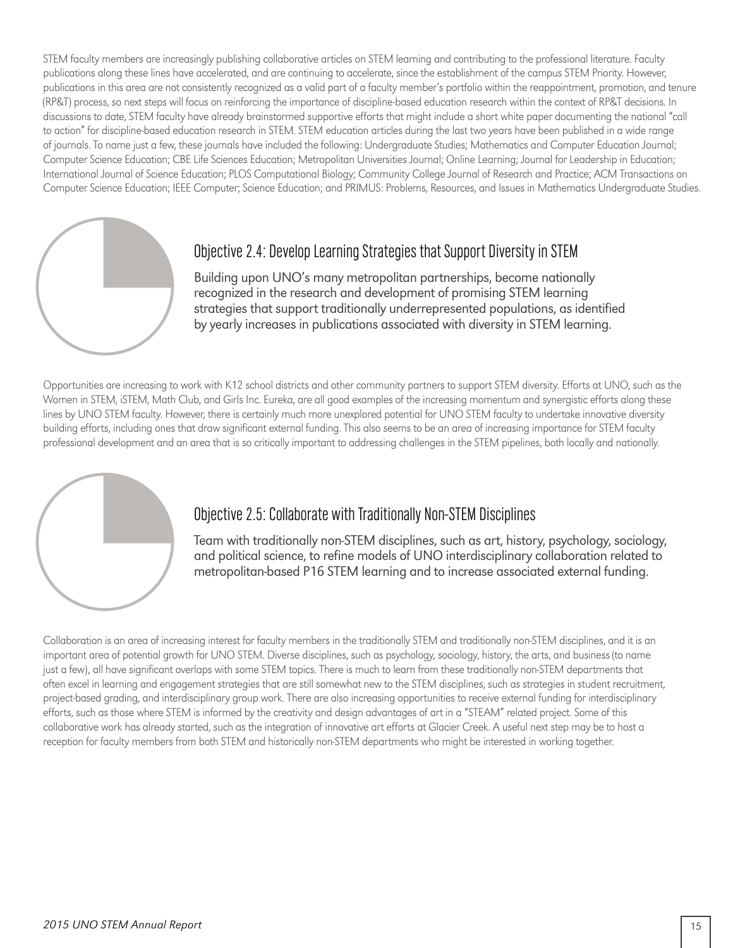STEM faculty members are increasingly publishing collaborative articles on STEM learning and contributing to the professional literature. Faculty publications along these lines have accelerated, and are continuing to accelerate, since the establishment of the campus STEM Priority. However, publications in this area are not consistently recognized as a valid part of a faculty member's portfolio within the reappointment, promotion, and tenure (RP&T) process, so next steps will focus on reinforcing the importance of discipline-based education research within the context of RP&T decisions. In discussions to date, STEM faculty have already brainstormed supportive efforts that might include a short white paper documenting the national "call to action" for discipline-based education research in STEM. STEM education articles during the last two years have been published in a wide range of journals. To name just a few, these journals have included the following: Undergraduate Studies; Mathematics and Computer Education Journal; Computer Science Education; CBE Life Sciences Education; Metropolitan Universities Journal; Online Learning; Journal for Leadership in Education; International Journal of Science Education; PLOS Computational Biology; Community College Journal of Research and Practice; ACM Transactions on Computer Science Education; IEEE Computer; Science Education; and PRIMUS: Problems, Resources, and Issues in Mathematics Undergraduate Studies.



#### Objective 2.4: Develop Learning Strategies that Support Diversity in STEM

Building upon UNO's many metropolitan partnerships, become nationally recognized in the research and development of promising STEM learning strategies that support traditionally underrepresented populations, as identified by yearly increases in publications associated with diversity in STEM learning.

Opportunities are increasing to work with K12 school districts and other community partners to support STEM diversity. Efforts at UNO, such as the Women in STEM, iSTEM, Math Club, and Girls Inc. Eureka, are all good examples of the increasing momentum and synergistic efforts along these lines by UNO STEM faculty. However, there is certainly much more unexplored potential for UNO STEM faculty to undertake innovative diversity building efforts, including ones that draw significant external funding. This also seems to be an area of increasing importance for STEM faculty professional development and an area that is so critically important to addressing challenges in the STEM pipelines, both locally and nationally.



#### Objective 2.5: Collaborate with Traditionally Non-STEM Disciplines

Team with traditionally non-STEM disciplines, such as art, history, psychology, sociology, and political science, to refine models of UNO interdisciplinary collaboration related to metropolitan-based P16 STEM learning and to increase associated external funding.

Collaboration is an area of increasing interest for faculty members in the traditionally STEM and traditionally non-STEM disciplines, and it is an important area of potential growth for UNO STEM. Diverse disciplines, such as psychology, sociology, history, the arts, and business (to name just a few), all have significant overlaps with some STEM topics. There is much to learn from these traditionally non-STEM departments that often excel in learning and engagement strategies that are still somewhat new to the STEM disciplines, such as strategies in student recruitment, project-based grading, and interdisciplinary group work. There are also increasing opportunities to receive external funding for interdisciplinary efforts, such as those where STEM is informed by the creativity and design advantages of art in a "STEAM" related project. Some of this collaborative work has already started, such as the integration of innovative art efforts at Glacier Creek. A useful next step may be to host a reception for faculty members from both STEM and historically non-STEM departments who might be interested in working together.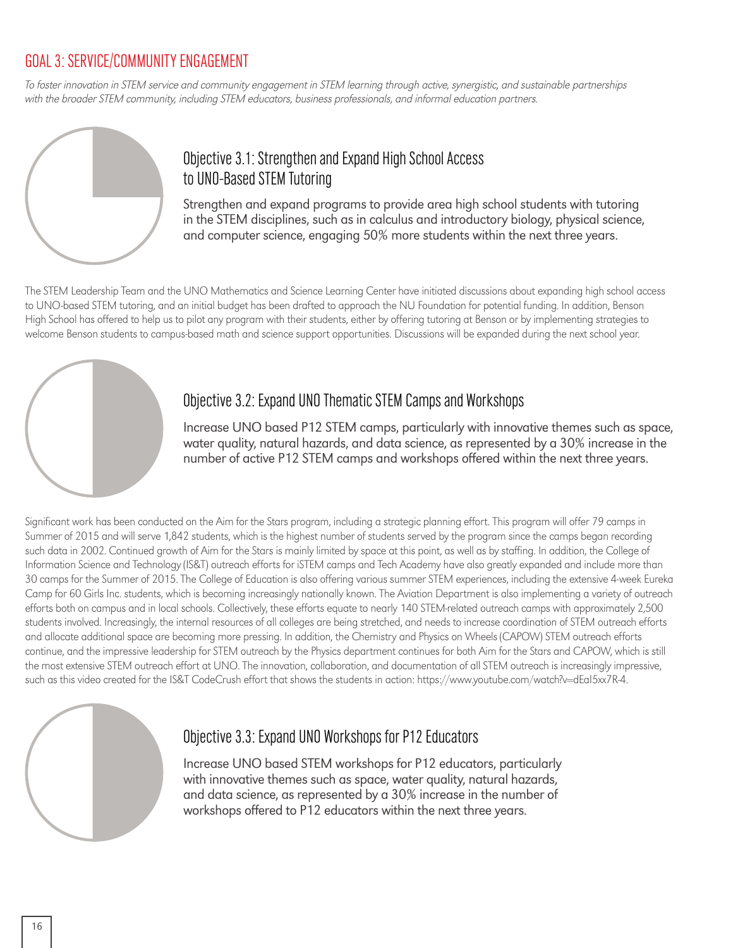#### GOAL 3: SERVICE/COMMUNITY ENGAGEMENT

To foster innovation in STEM service and community engagement in STEM learning through active, synergistic, and sustainable partnerships with the broader STEM community, including STEM educators, business professionals, and informal education partners.



#### Objective 3.1: Strengthen and Expand High School Access to UNO-Based STEM Tutoring

Strengthen and expand programs to provide area high school students with tutoring in the STEM disciplines, such as in calculus and introductory biology, physical science, and computer science, engaging 50% more students within the next three years.

The STEM Leadership Team and the UNO Mathematics and Science Learning Center have initiated discussions about expanding high school access to UNO-based STEM tutoring, and an initial budget has been drafted to approach the NU Foundation for potential funding. In addition, Benson High School has offered to help us to pilot any program with their students, either by offering tutoring at Benson or by implementing strategies to welcome Benson students to campus-based math and science support opportunities. Discussions will be expanded during the next school year.



#### Objective 3.2: Expand UNO Thematic STEM Camps and Workshops

Increase UNO based P12 STEM camps, particularly with innovative themes such as space, water quality, natural hazards, and data science, as represented by a 30% increase in the number of active P12 STEM camps and workshops offered within the next three years.

Significant work has been conducted on the Aim for the Stars program, including a strategic planning effort. This program will offer 79 camps in Summer of 2015 and will serve 1,842 students, which is the highest number of students served by the program since the camps began recording such data in 2002. Continued growth of Aim for the Stars is mainly limited by space at this point, as well as by staffing. In addition, the College of Information Science and Technology (IS&T) outreach efforts for iSTEM camps and Tech Academy have also greatly expanded and include more than 30 camps for the Summer of 2015. The College of Education is also offering various summer STEM experiences, including the extensive 4-week Eureka Camp for 60 Girls Inc. students, which is becoming increasingly nationally known. The Aviation Department is also implementing a variety of outreach efforts both on campus and in local schools. Collectively, these efforts equate to nearly 140 STEM-related outreach camps with approximately 2,500 students involved. Increasingly, the internal resources of all colleges are being stretched, and needs to increase coordination of STEM outreach efforts and allocate additional space are becoming more pressing. In addition, the Chemistry and Physics on Wheels (CAPOW) STEM outreach efforts continue, and the impressive leadership for STEM outreach by the Physics department continues for both Aim for the Stars and CAPOW, which is still the most extensive STEM outreach effort at UNO. The innovation, collaboration, and documentation of all STEM outreach is increasingly impressive, such as this video created for the IS&T CodeCrush effort that shows the students in action: https://www.youtube.com/watch?v=dEaI5xx7R-4.

#### Objective 3.3: Expand UNO Workshops for P12 Educators

Increase UNO based STEM workshops for P12 educators, particularly with innovative themes such as space, water quality, natural hazards, and data science, as represented by a 30% increase in the number of workshops offered to P12 educators within the next three years.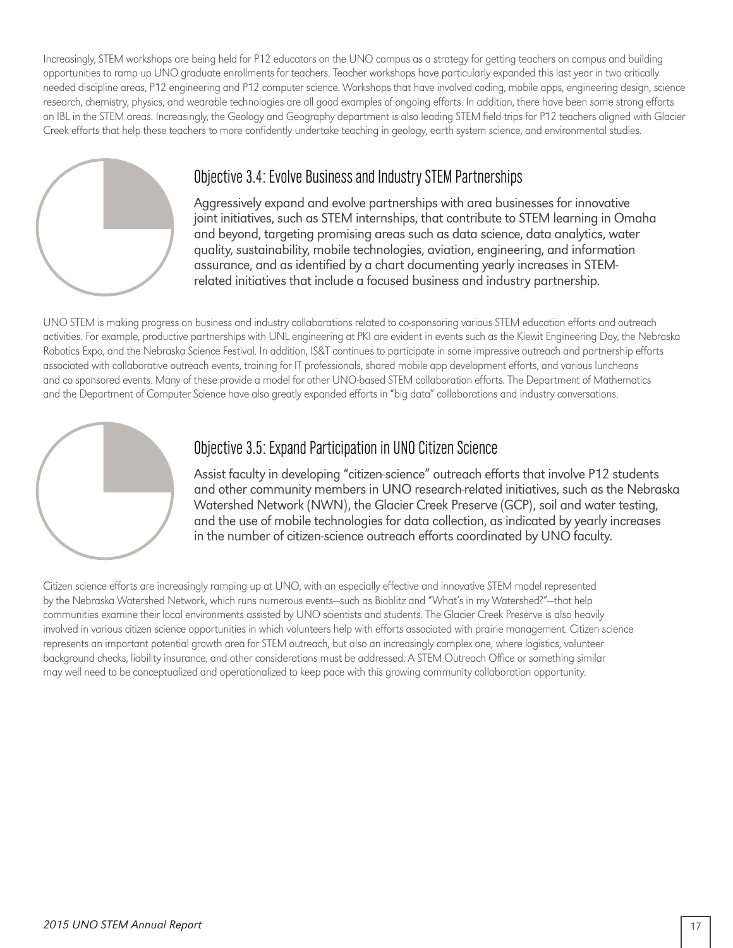Increasingly, STEM workshops are being held for P12 educators on the UNO campus as a strategy for getting teachers on campus and building opportunities to ramp up UNO graduate enrollments for teachers. Teacher workshops have particularly expanded this last year in two critically needed discipline areas, P12 engineering and P12 computer science. Workshops that have involved coding, mobile apps, engineering design, science research, chemistry, physics, and wearable technologies are all good examples of ongoing efforts. In addition, there have been some strong efforts on IBL in the STEM areas. Increasingly, the Geology and Geography department is also leading STEM field trips for P12 teachers aligned with Glacier Creek efforts that help these teachers to more confidently undertake teaching in geology, earth system science, and environmental studies.



#### Objective 3.4: Evolve Business and Industry STEM Partnerships

Aggressively expand and evolve partnerships with area businesses for innovative joint initiatives, such as STEM internships, that contribute to STEM learning in Omaha and beyond, targeting promising areas such as data science, data analytics, water quality, sustainability, mobile technologies, aviation, engineering, and information assurance, and as identified by a chart documenting yearly increases in STEMrelated initiatives that include a focused business and industry partnership.

UNO STEM is making progress on business and industry collaborations related to co-sponsoring various STEM education efforts and outreach activities. For example, productive partnerships with UNL engineering at PKI are evident in events such as the Kiewit Engineering Day, the Nebraska Robotics Expo, and the Nebraska Science Festival. In addition, IS&T continues to participate in some impressive outreach and partnership efforts associated with collaborative outreach events, training for IT professionals, shared mobile app development efforts, and various luncheons and co sponsored events. Many of these provide a model for other UNO-based STEM collaboration efforts. The Department of Mathematics and the Department of Computer Science have also greatly expanded efforts in "big data" collaborations and industry conversations.



#### Objective 3.5: Expand Participation in UNO Citizen Science

Assist faculty in developing "citizen-science" outreach efforts that involve P12 students and other community members in UNO research-related initiatives, such as the Nebraska Watershed Network (NWN), the Glacier Creek Preserve (GCP), soil and water testing, and the use of mobile technologies for data collection, as indicated by yearly increases in the number of citizen-science outreach efforts coordinated by UNO faculty.

Citizen science efforts are increasingly ramping up at UNO, with an especially effective and innovative STEM model represented by the Nebraska Watershed Network, which runs numerous events—such as Bioblitz and "What's in my Watershed?"—that help communities examine their local environments assisted by UNO scientists and students. The Glacier Creek Preserve is also heavily involved in various citizen science opportunities in which volunteers help with efforts associated with prairie management. Citizen science represents an important potential growth area for STEM outreach, but also an increasingly complex one, where logistics, volunteer background checks, liability insurance, and other considerations must be addressed. A STEM Outreach Office or something similar may well need to be conceptualized and operationalized to keep pace with this growing community collaboration opportunity.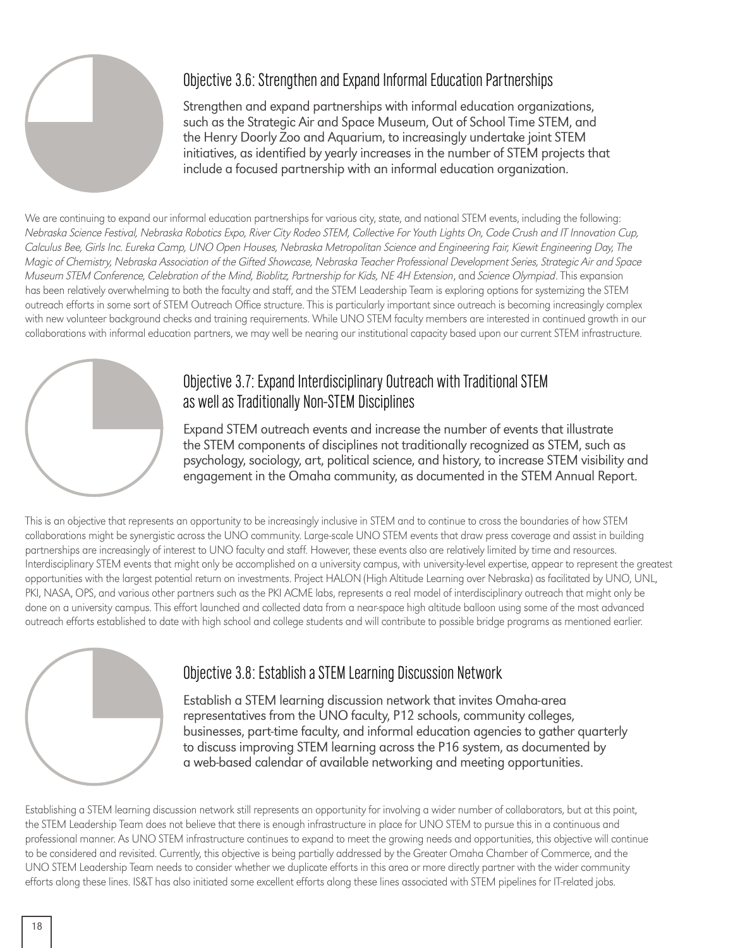#### Objective 3.6: Strengthen and Expand Informal Education Partnerships

Strengthen and expand partnerships with informal education organizations, such as the Strategic Air and Space Museum, Out of School Time STEM, and the Henry Doorly Zoo and Aquarium, to increasingly undertake joint STEM initiatives, as identified by yearly increases in the number of STEM projects that include a focused partnership with an informal education organization.

We are continuing to expand our informal education partnerships for various city, state, and national STEM events, including the following: Nebraska Science Festival, Nebraska Robotics Expo, River City Rodeo STEM, Collective For Youth Lights On, Code Crush and IT Innovation Cup, Calculus Bee, Girls Inc. Eureka Camp, UNO Open Houses, Nebraska Metropolitan Science and Engineering Fair, Kiewit Engineering Day, The Magic of Chemistry, Nebraska Association of the Gifted Showcase, Nebraska Teacher Professional Development Series, Strategic Air and Space Museum STEM Conference, Celebration of the Mind, Bioblitz, Partnership for Kids, NE 4H Extension, and Science Olympiad. This expansion has been relatively overwhelming to both the faculty and staff, and the STEM Leadership Team is exploring options for systemizing the STEM outreach efforts in some sort of STEM Outreach Office structure. This is particularly important since outreach is becoming increasingly complex with new volunteer background checks and training requirements. While UNO STEM faculty members are interested in continued growth in our collaborations with informal education partners, we may well be nearing our institutional capacity based upon our current STEM infrastructure.



#### Objective 3.7: Expand Interdisciplinary Outreach with Traditional STEM as well as Traditionally Non-STEM Disciplines

Expand STEM outreach events and increase the number of events that illustrate the STEM components of disciplines not traditionally recognized as STEM, such as psychology, sociology, art, political science, and history, to increase STEM visibility and engagement in the Omaha community, as documented in the STEM Annual Report.

This is an objective that represents an opportunity to be increasingly inclusive in STEM and to continue to cross the boundaries of how STEM collaborations might be synergistic across the UNO community. Large-scale UNO STEM events that draw press coverage and assist in building partnerships are increasingly of interest to UNO faculty and staff. However, these events also are relatively limited by time and resources. Interdisciplinary STEM events that might only be accomplished on a university campus, with university-level expertise, appear to represent the greatest opportunities with the largest potential return on investments. Project HALON (High Altitude Learning over Nebraska) as facilitated by UNO, UNL, PKI, NASA, OPS, and various other partners such as the PKI ACME labs, represents a real model of interdisciplinary outreach that might only be done on a university campus. This effort launched and collected data from a near-space high altitude balloon using some of the most advanced outreach efforts established to date with high school and college students and will contribute to possible bridge programs as mentioned earlier.



#### Objective 3.8: Establish a STEM Learning Discussion Network

Establish a STEM learning discussion network that invites Omaha-area representatives from the UNO faculty, P12 schools, community colleges, businesses, part-time faculty, and informal education agencies to gather quarterly to discuss improving STEM learning across the P16 system, as documented by a web-based calendar of available networking and meeting opportunities.

Establishing a STEM learning discussion network still represents an opportunity for involving a wider number of collaborators, but at this point, the STEM Leadership Team does not believe that there is enough infrastructure in place for UNO STEM to pursue this in a continuous and professional manner. As UNO STEM infrastructure continues to expand to meet the growing needs and opportunities, this objective will continue to be considered and revisited. Currently, this objective is being partially addressed by the Greater Omaha Chamber of Commerce, and the UNO STEM Leadership Team needs to consider whether we duplicate efforts in this area or more directly partner with the wider community efforts along these lines. IS&T has also initiated some excellent efforts along these lines associated with STEM pipelines for IT-related jobs.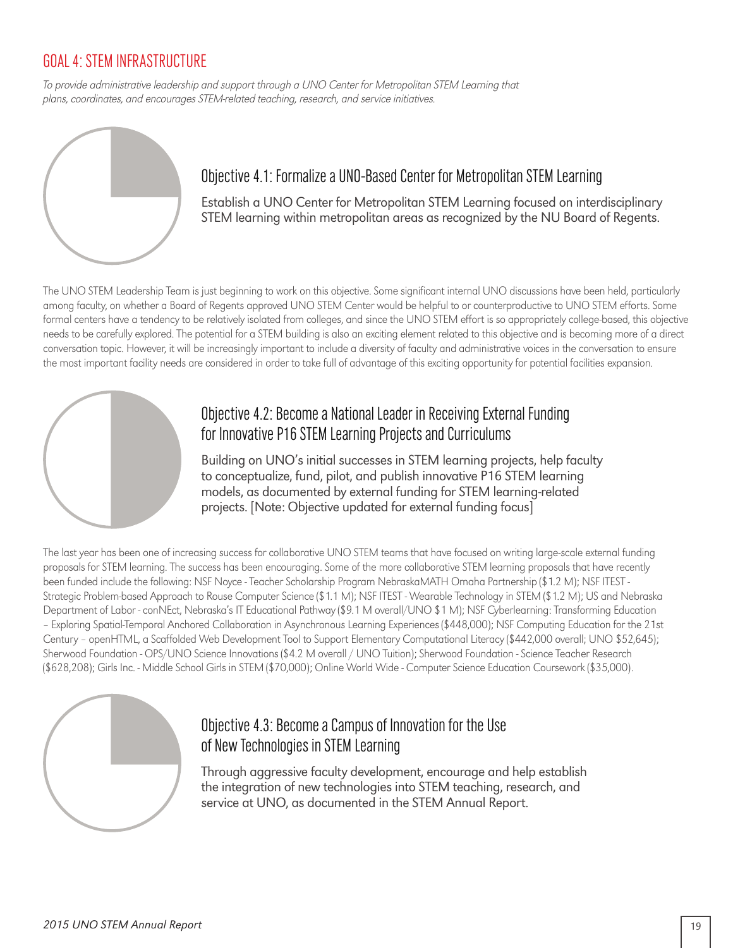#### GOAL 4: STEM INFRASTRUCTURE

To provide administrative leadership and support through a UNO Center for Metropolitan STEM Learning that plans, coordinates, and encourages STEM-related teaching, research, and service initiatives.



#### Objective 4.1: Formalize a UNO-Based Center for Metropolitan STEM Learning

Establish a UNO Center for Metropolitan STEM Learning focused on interdisciplinary STEM learning within metropolitan areas as recognized by the NU Board of Regents.

The UNO STEM Leadership Team is just beginning to work on this objective. Some significant internal UNO discussions have been held, particularly among faculty, on whether a Board of Regents approved UNO STEM Center would be helpful to or counterproductive to UNO STEM efforts. Some formal centers have a tendency to be relatively isolated from colleges, and since the UNO STEM effort is so appropriately college-based, this objective needs to be carefully explored. The potential for a STEM building is also an exciting element related to this objective and is becoming more of a direct conversation topic. However, it will be increasingly important to include a diversity of faculty and administrative voices in the conversation to ensure the most important facility needs are considered in order to take full of advantage of this exciting opportunity for potential facilities expansion.



#### Objective 4.2: Become a National Leader in Receiving External Funding for Innovative P16 STEM Learning Projects and Curriculums

Building on UNO's initial successes in STEM learning projects, help faculty to conceptualize, fund, pilot, and publish innovative P16 STEM learning models, as documented by external funding for STEM learning-related projects. [Note: Objective updated for external funding focus]

The last year has been one of increasing success for collaborative UNO STEM teams that have focused on writing large-scale external funding proposals for STEM learning. The success has been encouraging. Some of the more collaborative STEM learning proposals that have recently been funded include the following: NSF Noyce - Teacher Scholarship Program NebraskaMATH Omaha Partnership (\$1.2 M); NSF ITEST - Strategic Problem-based Approach to Rouse Computer Science (\$1.1 M); NSF ITEST - Wearable Technology in STEM (\$1.2 M); US and Nebraska Department of Labor - conNEct, Nebraska's IT Educational Pathway (\$9.1 M overall/UNO \$1 M); NSF Cyberlearning: Transforming Education – Exploring Spatial-Temporal Anchored Collaboration in Asynchronous Learning Experiences (\$448,000); NSF Computing Education for the 21st Century – openHTML, a Scaffolded Web Development Tool to Support Elementary Computational Literacy (\$442,000 overall; UNO \$52,645); Sherwood Foundation - OPS/UNO Science Innovations (\$4.2 M overall / UNO Tuition); Sherwood Foundation - Science Teacher Research (\$628,208); Girls Inc. - Middle School Girls in STEM (\$70,000); Online World Wide - Computer Science Education Coursework (\$35,000).



#### Objective 4.3: Become a Campus of Innovation for the Use of New Technologies in STEM Learning

Through aggressive faculty development, encourage and help establish the integration of new technologies into STEM teaching, research, and service at UNO, as documented in the STEM Annual Report.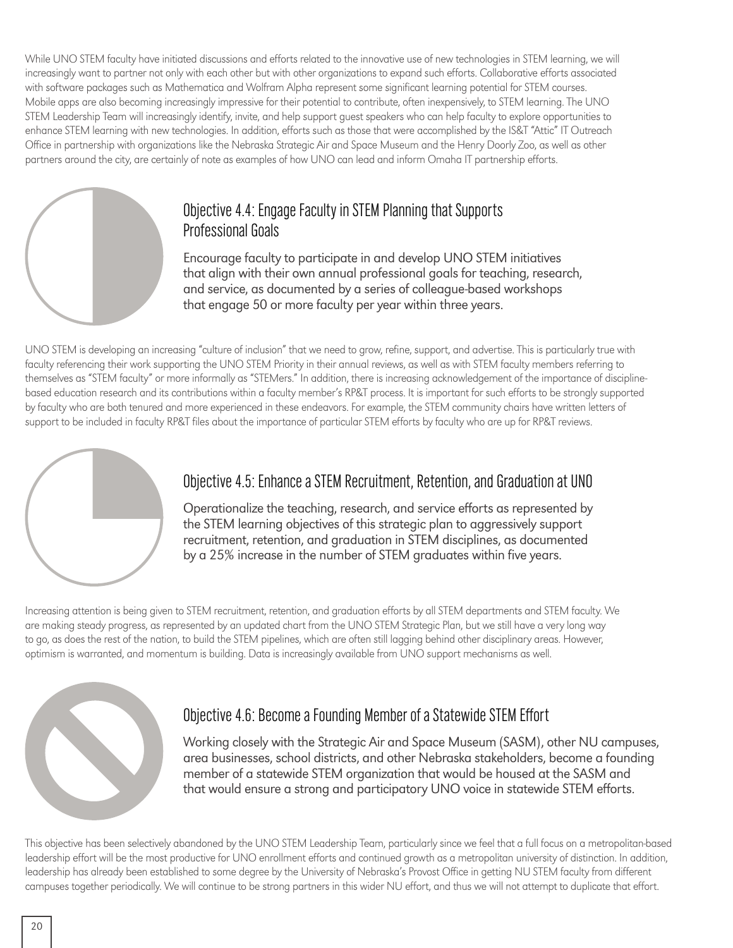While UNO STEM faculty have initiated discussions and efforts related to the innovative use of new technologies in STEM learning, we will increasingly want to partner not only with each other but with other organizations to expand such efforts. Collaborative efforts associated with software packages such as Mathematica and Wolfram Alpha represent some significant learning potential for STEM courses. Mobile apps are also becoming increasingly impressive for their potential to contribute, often inexpensively, to STEM learning. The UNO STEM Leadership Team will increasingly identify, invite, and help support guest speakers who can help faculty to explore opportunities to enhance STEM learning with new technologies. In addition, efforts such as those that were accomplished by the IS&T "Attic" IT Outreach Office in partnership with organizations like the Nebraska Strategic Air and Space Museum and the Henry Doorly Zoo, as well as other partners around the city, are certainly of note as examples of how UNO can lead and inform Omaha IT partnership efforts.



#### Objective 4.4: Engage Faculty in STEM Planning that Supports Professional Goals

Encourage faculty to participate in and develop UNO STEM initiatives that align with their own annual professional goals for teaching, research, and service, as documented by a series of colleague-based workshops that engage 50 or more faculty per year within three years.

UNO STEM is developing an increasing "culture of inclusion" that we need to grow, refine, support, and advertise. This is particularly true with faculty referencing their work supporting the UNO STEM Priority in their annual reviews, as well as with STEM faculty members referring to themselves as "STEM faculty" or more informally as "STEMers." In addition, there is increasing acknowledgement of the importance of disciplinebased education research and its contributions within a faculty member's RP&T process. It is important for such efforts to be strongly supported by faculty who are both tenured and more experienced in these endeavors. For example, the STEM community chairs have written letters of support to be included in faculty RP&T files about the importance of particular STEM efforts by faculty who are up for RP&T reviews.



#### Objective 4.5: Enhance a STEM Recruitment, Retention, and Graduation at UNO

Operationalize the teaching, research, and service efforts as represented by the STEM learning objectives of this strategic plan to aggressively support recruitment, retention, and graduation in STEM disciplines, as documented by a 25% increase in the number of STEM graduates within five years.

Increasing attention is being given to STEM recruitment, retention, and graduation efforts by all STEM departments and STEM faculty. We are making steady progress, as represented by an updated chart from the UNO STEM Strategic Plan, but we still have a very long way to go, as does the rest of the nation, to build the STEM pipelines, which are often still lagging behind other disciplinary areas. However, optimism is warranted, and momentum is building. Data is increasingly available from UNO support mechanisms as well.



#### Objective 4.6: Become a Founding Member of a Statewide STEM Effort

Working closely with the Strategic Air and Space Museum (SASM), other NU campuses, area businesses, school districts, and other Nebraska stakeholders, become a founding member of a statewide STEM organization that would be housed at the SASM and that would ensure a strong and participatory UNO voice in statewide STEM efforts.

This objective has been selectively abandoned by the UNO STEM Leadership Team, particularly since we feel that a full focus on a metropolitan-based leadership effort will be the most productive for UNO enrollment efforts and continued growth as a metropolitan university of distinction. In addition, leadership has already been established to some degree by the University of Nebraska's Provost Office in getting NU STEM faculty from different campuses together periodically. We will continue to be strong partners in this wider NU effort, and thus we will not attempt to duplicate that effort.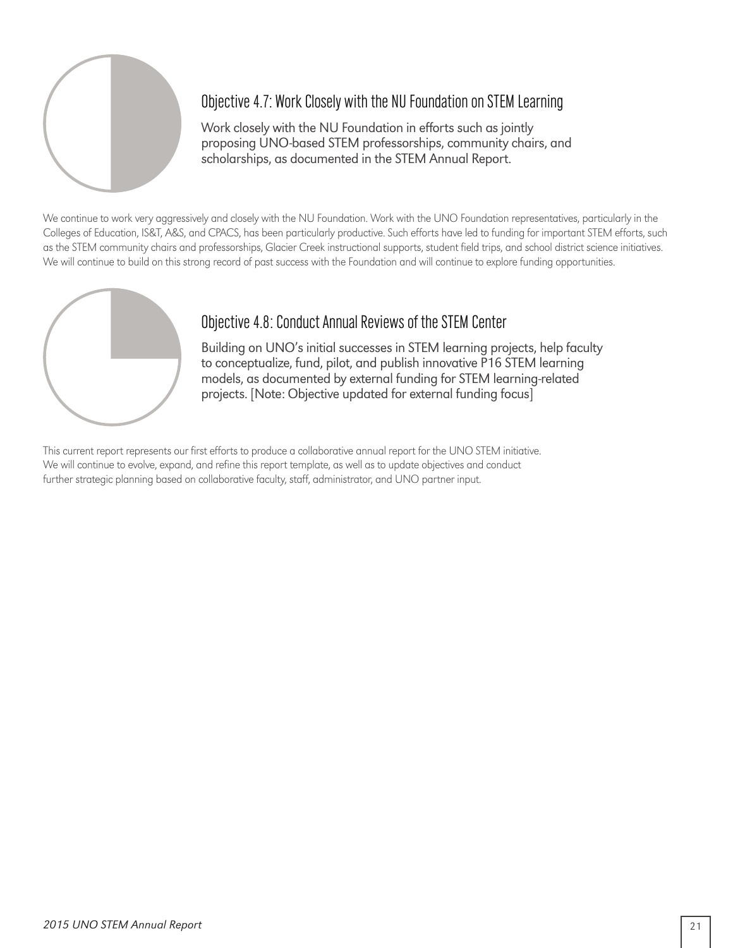

#### Objective 4.7: Work Closely with the NU Foundation on STEM Learning

Work closely with the NU Foundation in efforts such as jointly proposing UNO-based STEM professorships, community chairs, and scholarships, as documented in the STEM Annual Report.

We continue to work very aggressively and closely with the NU Foundation. Work with the UNO Foundation representatives, particularly in the Colleges of Education, IS&T, A&S, and CPACS, has been particularly productive. Such efforts have led to funding for important STEM efforts, such as the STEM community chairs and professorships, Glacier Creek instructional supports, student field trips, and school district science initiatives. We will continue to build on this strong record of past success with the Foundation and will continue to explore funding opportunities.



#### Objective 4.8: Conduct Annual Reviews of the STEM Center

Building on UNO's initial successes in STEM learning projects, help faculty to conceptualize, fund, pilot, and publish innovative P16 STEM learning models, as documented by external funding for STEM learning-related projects. [Note: Objective updated for external funding focus]

This current report represents our first efforts to produce a collaborative annual report for the UNO STEM initiative. We will continue to evolve, expand, and refine this report template, as well as to update objectives and conduct further strategic planning based on collaborative faculty, staff, administrator, and UNO partner input.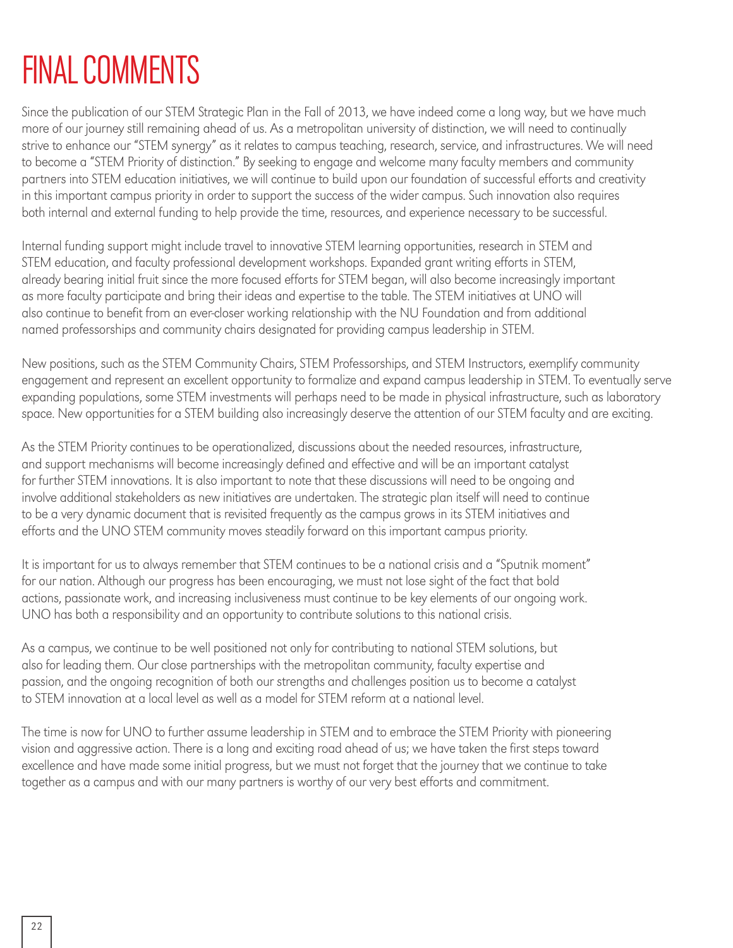# FINAL COMMENTS

Since the publication of our STEM Strategic Plan in the Fall of 2013, we have indeed come a long way, but we have much more of our journey still remaining ahead of us. As a metropolitan university of distinction, we will need to continually strive to enhance our "STEM synergy" as it relates to campus teaching, research, service, and infrastructures. We will need to become a "STEM Priority of distinction." By seeking to engage and welcome many faculty members and community partners into STEM education initiatives, we will continue to build upon our foundation of successful efforts and creativity in this important campus priority in order to support the success of the wider campus. Such innovation also requires both internal and external funding to help provide the time, resources, and experience necessary to be successful.

Internal funding support might include travel to innovative STEM learning opportunities, research in STEM and STEM education, and faculty professional development workshops. Expanded grant writing efforts in STEM, already bearing initial fruit since the more focused efforts for STEM began, will also become increasingly important as more faculty participate and bring their ideas and expertise to the table. The STEM initiatives at UNO will also continue to benefit from an ever-closer working relationship with the NU Foundation and from additional named professorships and community chairs designated for providing campus leadership in STEM.

New positions, such as the STEM Community Chairs, STEM Professorships, and STEM Instructors, exemplify community engagement and represent an excellent opportunity to formalize and expand campus leadership in STEM. To eventually serve expanding populations, some STEM investments will perhaps need to be made in physical infrastructure, such as laboratory space. New opportunities for a STEM building also increasingly deserve the attention of our STEM faculty and are exciting.

As the STEM Priority continues to be operationalized, discussions about the needed resources, infrastructure, and support mechanisms will become increasingly defined and effective and will be an important catalyst for further STEM innovations. It is also important to note that these discussions will need to be ongoing and involve additional stakeholders as new initiatives are undertaken. The strategic plan itself will need to continue to be a very dynamic document that is revisited frequently as the campus grows in its STEM initiatives and efforts and the UNO STEM community moves steadily forward on this important campus priority.

It is important for us to always remember that STEM continues to be a national crisis and a "Sputnik moment" for our nation. Although our progress has been encouraging, we must not lose sight of the fact that bold actions, passionate work, and increasing inclusiveness must continue to be key elements of our ongoing work. UNO has both a responsibility and an opportunity to contribute solutions to this national crisis.

As a campus, we continue to be well positioned not only for contributing to national STEM solutions, but also for leading them. Our close partnerships with the metropolitan community, faculty expertise and passion, and the ongoing recognition of both our strengths and challenges position us to become a catalyst to STEM innovation at a local level as well as a model for STEM reform at a national level.

The time is now for UNO to further assume leadership in STEM and to embrace the STEM Priority with pioneering vision and aggressive action. There is a long and exciting road ahead of us; we have taken the first steps toward excellence and have made some initial progress, but we must not forget that the journey that we continue to take together as a campus and with our many partners is worthy of our very best efforts and commitment.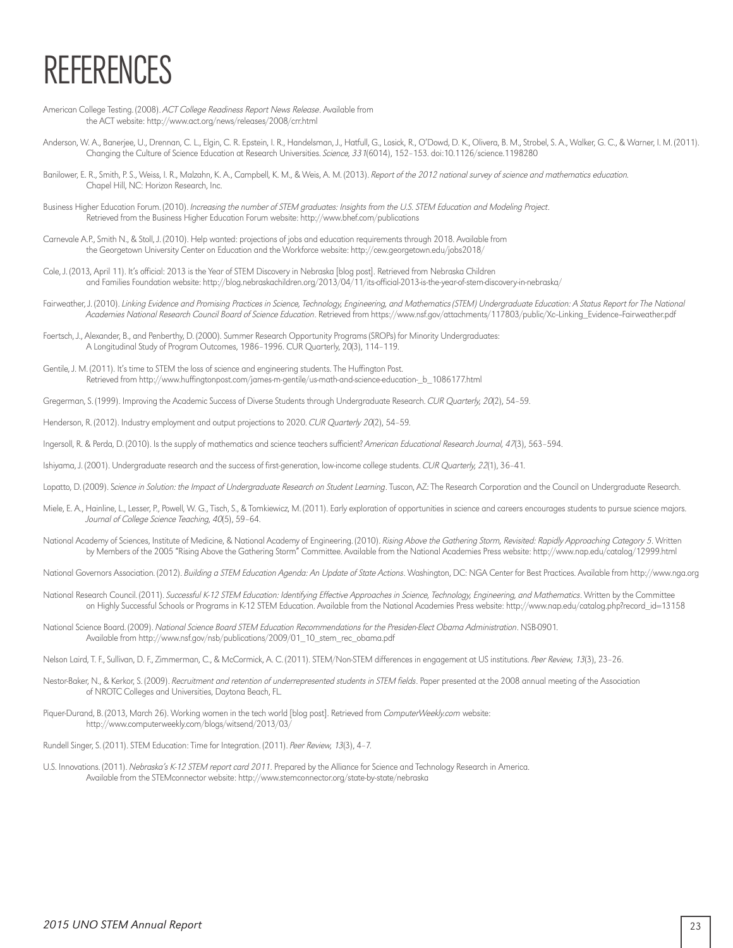# REFERENCES

- American College Testing. (2008). ACT College Readiness Report News Release. Available from the ACT website: http://www.act.org/news/releases/2008/crr.html
- Anderson, W. A., Banerjee, U., Drennan, C. L., Elgin, C. R. Epstein, I. R., Handelsman, J., Hatfull, G., Losick, R., O'Dowd, D. K., Olivera, B. M., Strobel, S. A., Walker, G. C., & Warner, I. M. (2011). Changing the Culture of Science Education at Research Universities. Science, 331(6014), 152–153. doi:10.1126/science.1198280
- Banilower, E. R., Smith, P. S., Weiss, I. R., Malzahn, K. A., Campbell, K. M., & Weis, A. M. (2013). Report of the 2012 national survey of science and mathematics education. Chapel Hill, NC: Horizon Research, Inc.
- Business Higher Education Forum. (2010). Increasing the number of STEM graduates: Insights from the U.S. STEM Education and Modeling Project. Retrieved from the Business Higher Education Forum website: http://www.bhef.com/publications
- Carnevale A.P., Smith N., & Stoll, J. (2010). Help wanted: projections of jobs and education requirements through 2018. Available from the Georgetown University Center on Education and the Workforce website: http://cew.georgetown.edu/jobs2018/
- Cole, J. (2013, April 11). It's official: 2013 is the Year of STEM Discovery in Nebraska [blog post]. Retrieved from Nebraska Children and Families Foundation website: http://blog.nebraskachildren.org/2013/04/11/its-official-2013-is-the-year-of-stem-discovery-in-nebraska/
- Fairweather, J. (2010). Linking Evidence and Promising Practices in Science, Technology, Engineering, and Mathematics (STEM) Undergraduate Education: A Status Report for The National Academies National Research Council Board of Science Education. Retrieved from https://www.nsf.gov/attachments/117803/public/Xc-Linking\_Evidence-Fairweather.pdf
- Foertsch, J., Alexander, B., and Penberthy, D. (2000). Summer Research Opportunity Programs (SROPs) for Minority Undergraduates: A Longitudinal Study of Program Outcomes, 1986–1996. CUR Quarterly, 20(3), 114–119.
- Gentile, J. M. (2011). It's time to STEM the loss of science and engineering students. The Huffington Post. Retrieved from http://www.huffingtonpost.com/james-m-gentile/us-math-and-science-education-\_b\_1086177.html

Gregerman, S. (1999). Improving the Academic Success of Diverse Students through Undergraduate Research. CUR Quarterly, 20(2), 54–59.

- Henderson, R. (2012). Industry employment and output projections to 2020. CUR Quarterly 20(2), 54-59.
- Ingersoll, R. & Perda, D. (2010). Is the supply of mathematics and science teachers sufficient? American Educational Research Journal, 47(3), 563-594.
- Ishiyama, J. (2001). Undergraduate research and the success of first-generation, low-income college students. CUR Quarterly, 22(1), 36-41.
- Lopatto, D. (2009). Science in Solution: the Impact of Undergraduate Research on Student Learning. Tuscon, AZ: The Research Corporation and the Council on Undergraduate Research.
- Miele, E. A., Hainline, L., Lesser, P., Powell, W. G., Tisch, S., & Tomkiewicz, M. (2011). Early exploration of opportunities in science and careers encourages students to pursue science majors. Journal of College Science Teaching, 40(5), 59–64.
- National Academy of Sciences, Institute of Medicine, & National Academy of Engineering. (2010). Rising Above the Gathering Storm, Revisited: Rapidly Approaching Category 5. Written by Members of the 2005 "Rising Above the Gathering Storm" Committee. Available from the National Academies Press website: http://www.nap.edu/catalog/12999.html
- National Governors Association. (2012). Building a STEM Education Agenda: An Update of State Actions. Washington, DC: NGA Center for Best Practices. Available from http://www.nga.org
- National Research Council. (2011). Successful K-12 STEM Education: Identifying Effective Approaches in Science, Technology, Engineering, and Mathematics. Written by the Committee on Highly Successful Schools or Programs in K-12 STEM Education. Available from the National Academies Press website: http://www.nap.edu/catalog.php?record\_id=13158
- National Science Board. (2009). National Science Board STEM Education Recommendations for the Presiden-Elect Obama Administration. NSB-0901. Available from http://www.nsf.gov/nsb/publications/2009/01\_10\_stem\_rec\_obama.pdf
- Nelson Laird, T. F., Sullivan, D. F., Zimmerman, C., & McCormick, A. C. (2011). STEM/Non-STEM differences in engagement at US institutions. Peer Review, 13(3), 23-26.
- Nestor-Baker, N., & Kerkor, S. (2009). Recruitment and retention of underrepresented students in STEM fields. Paper presented at the 2008 annual meeting of the Association of NROTC Colleges and Universities, Daytona Beach, FL.
- Piquer-Durand, B. (2013, March 26). Working women in the tech world [blog post]. Retrieved from ComputerWeekly.com website: http://www.computerweekly.com/blogs/witsend/2013/03/
- Rundell Singer, S. (2011). STEM Education: Time for Integration. (2011). Peer Review, 13(3), 4-7.
- U.S. Innovations. (2011). Nebraska's K-12 STEM report card 2011. Prepared by the Alliance for Science and Technology Research in America. Available from the STEMconnector website: http://www.stemconnector.org/state-by-state/nebraska